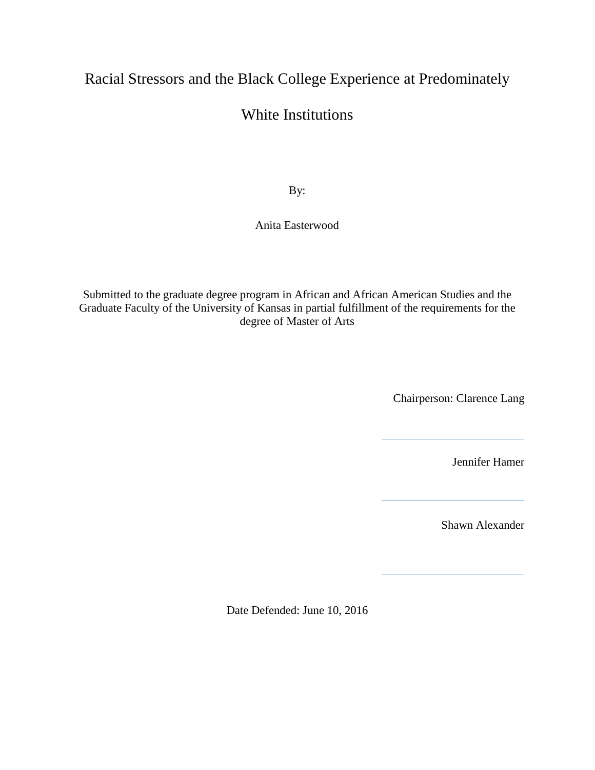# Racial Stressors and the Black College Experience at Predominately

## White Institutions

By:

Anita Easterwood

Submitted to the graduate degree program in African and African American Studies and the Graduate Faculty of the University of Kansas in partial fulfillment of the requirements for the degree of Master of Arts

Chairperson: Clarence Lang

Jennifer Hamer

Shawn Alexander

Date Defended: June 10, 2016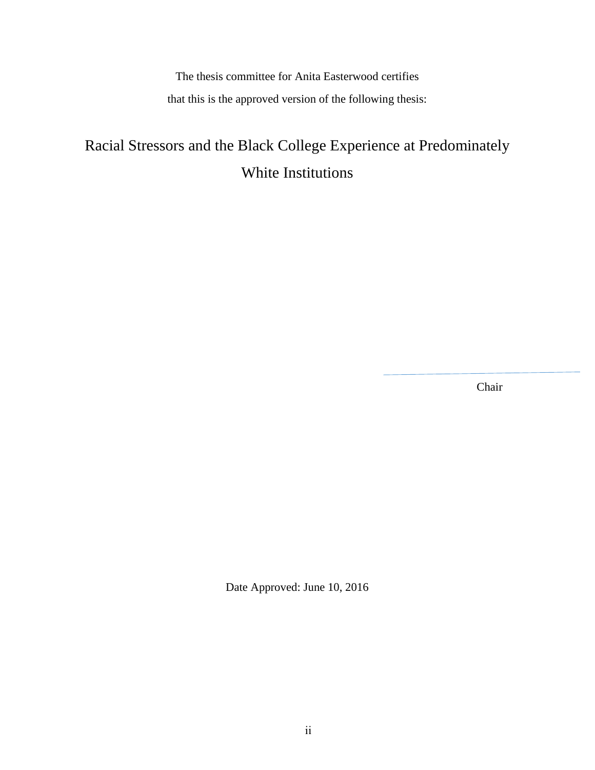The thesis committee for Anita Easterwood certifies that this is the approved version of the following thesis:

# Racial Stressors and the Black College Experience at Predominately White Institutions

Chair

Date Approved: June 10, 2016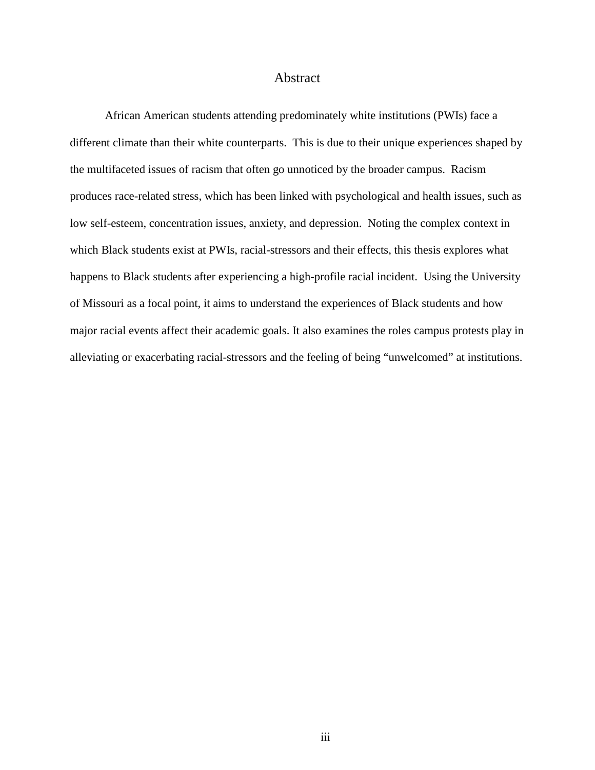#### Abstract

African American students attending predominately white institutions (PWIs) face a different climate than their white counterparts. This is due to their unique experiences shaped by the multifaceted issues of racism that often go unnoticed by the broader campus. Racism produces race-related stress, which has been linked with psychological and health issues, such as low self-esteem, concentration issues, anxiety, and depression. Noting the complex context in which Black students exist at PWIs, racial-stressors and their effects, this thesis explores what happens to Black students after experiencing a high-profile racial incident. Using the University of Missouri as a focal point, it aims to understand the experiences of Black students and how major racial events affect their academic goals. It also examines the roles campus protests play in alleviating or exacerbating racial-stressors and the feeling of being "unwelcomed" at institutions.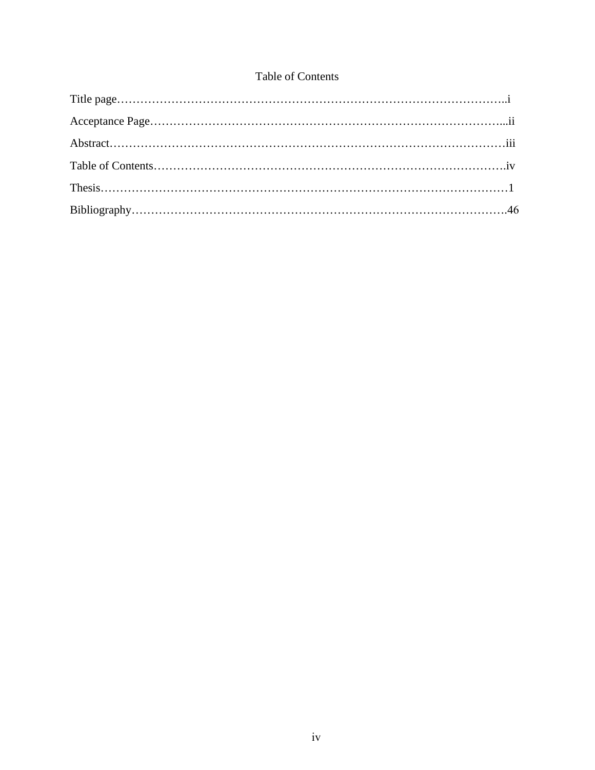### Table of Contents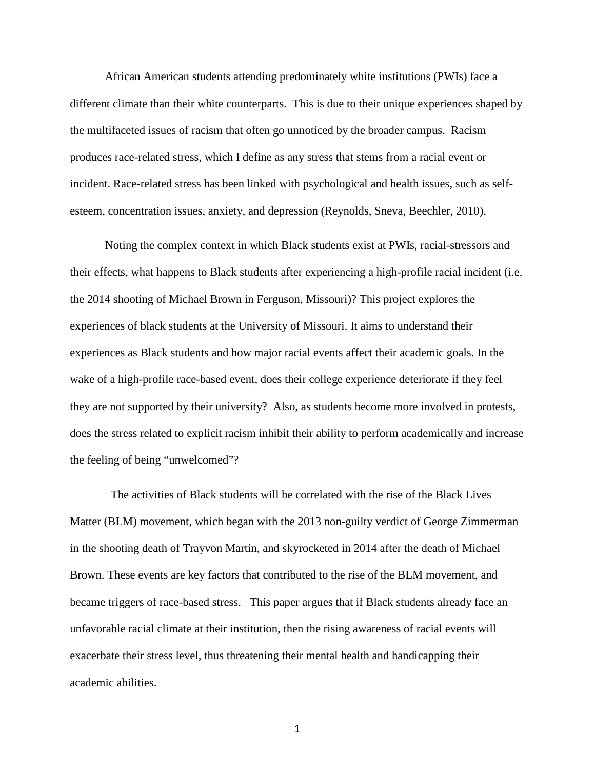African American students attending predominately white institutions (PWIs) face a different climate than their white counterparts. This is due to their unique experiences shaped by the multifaceted issues of racism that often go unnoticed by the broader campus. Racism produces race-related stress, which I define as any stress that stems from a racial event or incident. Race-related stress has been linked with psychological and health issues, such as selfesteem, concentration issues, anxiety, and depression (Reynolds, Sneva, Beechler, 2010).

Noting the complex context in which Black students exist at PWIs, racial-stressors and their effects, what happens to Black students after experiencing a high-profile racial incident (i.e. the 2014 shooting of Michael Brown in Ferguson, Missouri)? This project explores the experiences of black students at the University of Missouri. It aims to understand their experiences as Black students and how major racial events affect their academic goals. In the wake of a high-profile race-based event, does their college experience deteriorate if they feel they are not supported by their university? Also, as students become more involved in protests, does the stress related to explicit racism inhibit their ability to perform academically and increase the feeling of being "unwelcomed"?

 The activities of Black students will be correlated with the rise of the Black Lives Matter (BLM) movement, which began with the 2013 non-guilty verdict of George Zimmerman in the shooting death of Trayvon Martin, and skyrocketed in 2014 after the death of Michael Brown. These events are key factors that contributed to the rise of the BLM movement, and became triggers of race-based stress. This paper argues that if Black students already face an unfavorable racial climate at their institution, then the rising awareness of racial events will exacerbate their stress level, thus threatening their mental health and handicapping their academic abilities.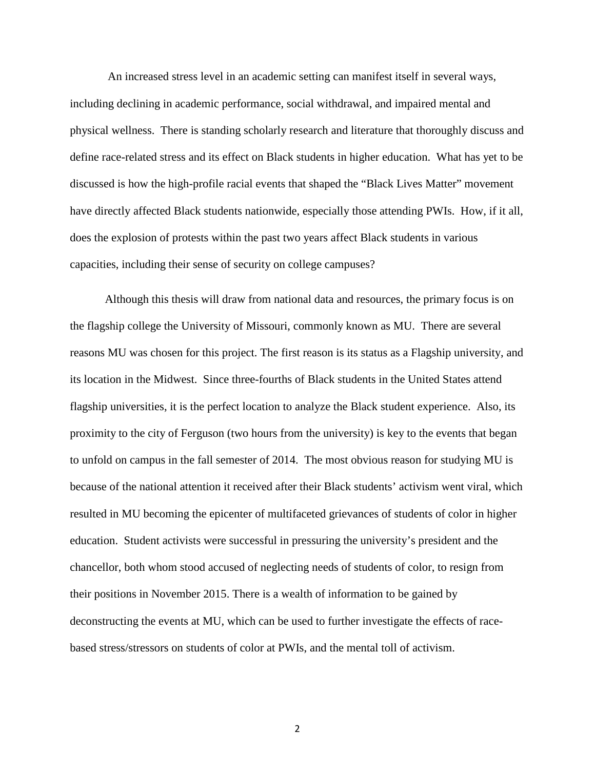An increased stress level in an academic setting can manifest itself in several ways, including declining in academic performance, social withdrawal, and impaired mental and physical wellness. There is standing scholarly research and literature that thoroughly discuss and define race-related stress and its effect on Black students in higher education. What has yet to be discussed is how the high-profile racial events that shaped the "Black Lives Matter" movement have directly affected Black students nationwide, especially those attending PWIs. How, if it all, does the explosion of protests within the past two years affect Black students in various capacities, including their sense of security on college campuses?

Although this thesis will draw from national data and resources, the primary focus is on the flagship college the University of Missouri, commonly known as MU. There are several reasons MU was chosen for this project. The first reason is its status as a Flagship university, and its location in the Midwest. Since three-fourths of Black students in the United States attend flagship universities, it is the perfect location to analyze the Black student experience. Also, its proximity to the city of Ferguson (two hours from the university) is key to the events that began to unfold on campus in the fall semester of 2014. The most obvious reason for studying MU is because of the national attention it received after their Black students' activism went viral, which resulted in MU becoming the epicenter of multifaceted grievances of students of color in higher education. Student activists were successful in pressuring the university's president and the chancellor, both whom stood accused of neglecting needs of students of color, to resign from their positions in November 2015. There is a wealth of information to be gained by deconstructing the events at MU, which can be used to further investigate the effects of racebased stress/stressors on students of color at PWIs, and the mental toll of activism.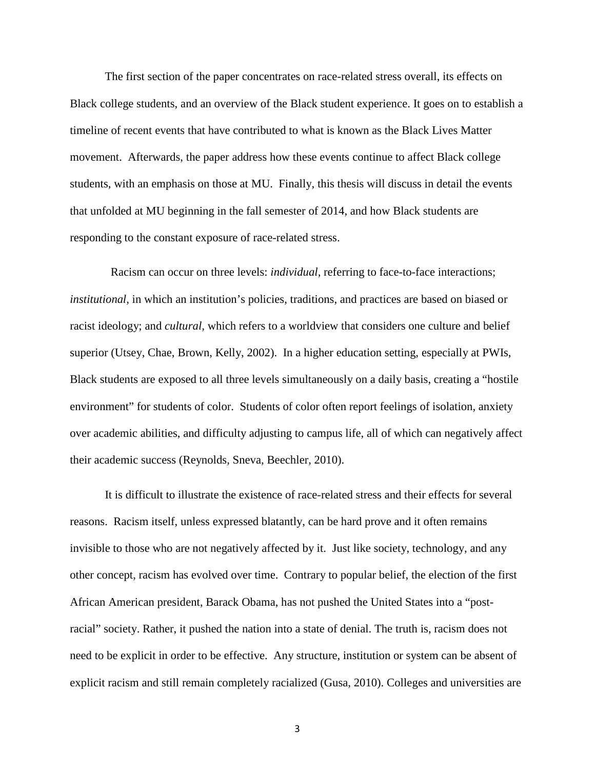The first section of the paper concentrates on race-related stress overall, its effects on Black college students, and an overview of the Black student experience. It goes on to establish a timeline of recent events that have contributed to what is known as the Black Lives Matter movement. Afterwards, the paper address how these events continue to affect Black college students, with an emphasis on those at MU. Finally, this thesis will discuss in detail the events that unfolded at MU beginning in the fall semester of 2014, and how Black students are responding to the constant exposure of race-related stress.

 Racism can occur on three levels: *individual,* referring to face-to-face interactions; *institutional,* in which an institution's policies, traditions, and practices are based on biased or racist ideology; and *cultural,* which refers to a worldview that considers one culture and belief superior (Utsey, Chae, Brown, Kelly, 2002). In a higher education setting, especially at PWIs, Black students are exposed to all three levels simultaneously on a daily basis, creating a "hostile environment" for students of color. Students of color often report feelings of isolation, anxiety over academic abilities, and difficulty adjusting to campus life, all of which can negatively affect their academic success (Reynolds, Sneva, Beechler, 2010).

It is difficult to illustrate the existence of race-related stress and their effects for several reasons. Racism itself, unless expressed blatantly, can be hard prove and it often remains invisible to those who are not negatively affected by it. Just like society, technology, and any other concept, racism has evolved over time. Contrary to popular belief, the election of the first African American president, Barack Obama, has not pushed the United States into a "postracial" society. Rather, it pushed the nation into a state of denial. The truth is, racism does not need to be explicit in order to be effective. Any structure, institution or system can be absent of explicit racism and still remain completely racialized (Gusa, 2010). Colleges and universities are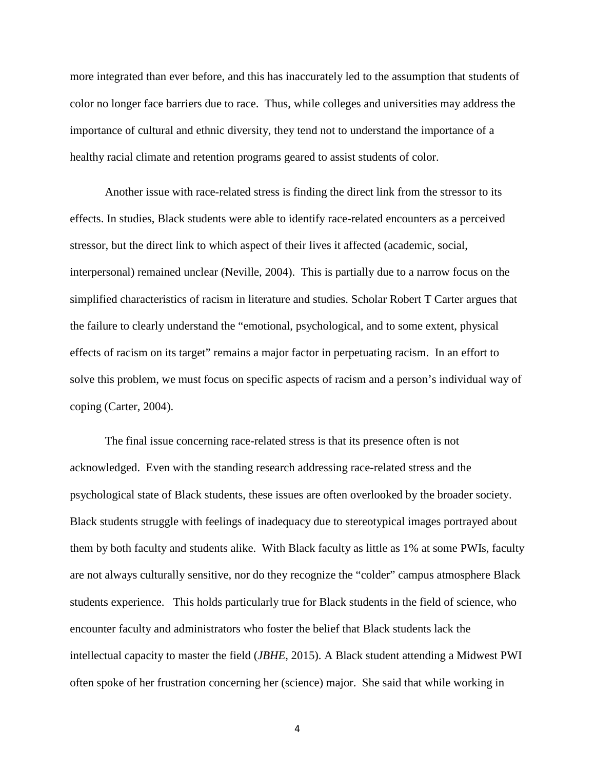more integrated than ever before, and this has inaccurately led to the assumption that students of color no longer face barriers due to race. Thus, while colleges and universities may address the importance of cultural and ethnic diversity, they tend not to understand the importance of a healthy racial climate and retention programs geared to assist students of color.

Another issue with race-related stress is finding the direct link from the stressor to its effects. In studies, Black students were able to identify race-related encounters as a perceived stressor, but the direct link to which aspect of their lives it affected (academic, social, interpersonal) remained unclear (Neville, 2004). This is partially due to a narrow focus on the simplified characteristics of racism in literature and studies. Scholar Robert T Carter argues that the failure to clearly understand the "emotional, psychological, and to some extent, physical effects of racism on its target" remains a major factor in perpetuating racism. In an effort to solve this problem, we must focus on specific aspects of racism and a person's individual way of coping (Carter, 2004).

The final issue concerning race-related stress is that its presence often is not acknowledged. Even with the standing research addressing race-related stress and the psychological state of Black students, these issues are often overlooked by the broader society. Black students struggle with feelings of inadequacy due to stereotypical images portrayed about them by both faculty and students alike. With Black faculty as little as 1% at some PWIs, faculty are not always culturally sensitive, nor do they recognize the "colder" campus atmosphere Black students experience. This holds particularly true for Black students in the field of science, who encounter faculty and administrators who foster the belief that Black students lack the intellectual capacity to master the field (*JBHE*, 2015). A Black student attending a Midwest PWI often spoke of her frustration concerning her (science) major. She said that while working in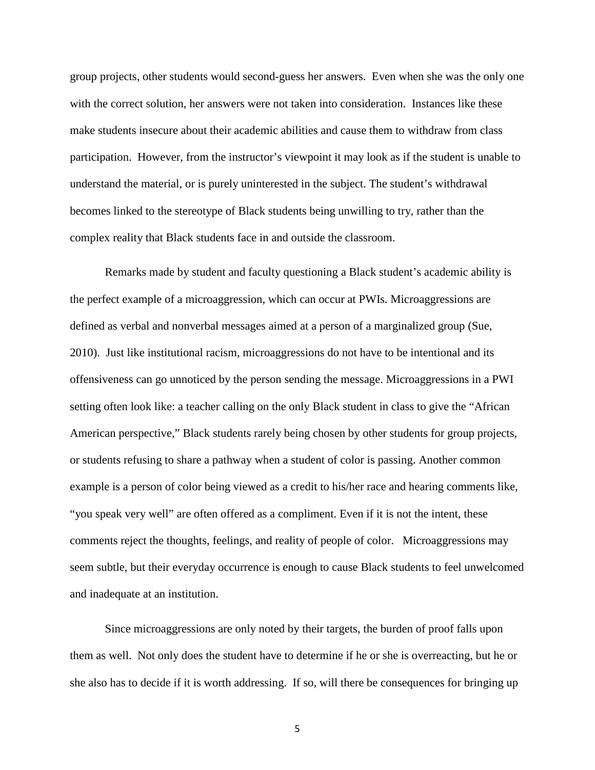group projects, other students would second-guess her answers. Even when she was the only one with the correct solution, her answers were not taken into consideration. Instances like these make students insecure about their academic abilities and cause them to withdraw from class participation. However, from the instructor's viewpoint it may look as if the student is unable to understand the material, or is purely uninterested in the subject. The student's withdrawal becomes linked to the stereotype of Black students being unwilling to try, rather than the complex reality that Black students face in and outside the classroom.

Remarks made by student and faculty questioning a Black student's academic ability is the perfect example of a microaggression, which can occur at PWIs. Microaggressions are defined as verbal and nonverbal messages aimed at a person of a marginalized group (Sue, 2010). Just like institutional racism, microaggressions do not have to be intentional and its offensiveness can go unnoticed by the person sending the message. Microaggressions in a PWI setting often look like: a teacher calling on the only Black student in class to give the "African American perspective," Black students rarely being chosen by other students for group projects, or students refusing to share a pathway when a student of color is passing. Another common example is a person of color being viewed as a credit to his/her race and hearing comments like, "you speak very well" are often offered as a compliment. Even if it is not the intent, these comments reject the thoughts, feelings, and reality of people of color. Microaggressions may seem subtle, but their everyday occurrence is enough to cause Black students to feel unwelcomed and inadequate at an institution.

Since microaggressions are only noted by their targets, the burden of proof falls upon them as well. Not only does the student have to determine if he or she is overreacting, but he or she also has to decide if it is worth addressing. If so, will there be consequences for bringing up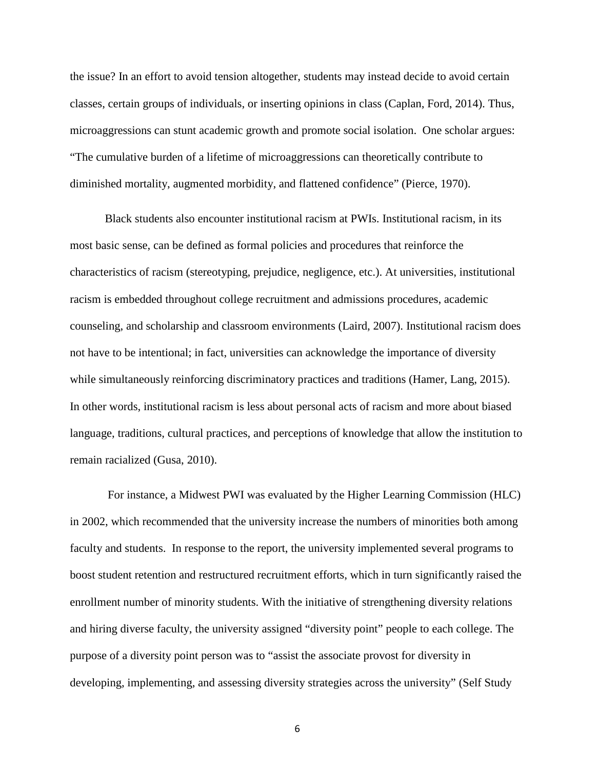the issue? In an effort to avoid tension altogether, students may instead decide to avoid certain classes, certain groups of individuals, or inserting opinions in class (Caplan, Ford, 2014). Thus, microaggressions can stunt academic growth and promote social isolation. One scholar argues: "The cumulative burden of a lifetime of microaggressions can theoretically contribute to diminished mortality, augmented morbidity, and flattened confidence" (Pierce, 1970).

Black students also encounter institutional racism at PWIs. Institutional racism, in its most basic sense, can be defined as formal policies and procedures that reinforce the characteristics of racism (stereotyping, prejudice, negligence, etc.). At universities, institutional racism is embedded throughout college recruitment and admissions procedures, academic counseling, and scholarship and classroom environments (Laird, 2007). Institutional racism does not have to be intentional; in fact, universities can acknowledge the importance of diversity while simultaneously reinforcing discriminatory practices and traditions (Hamer, Lang, 2015). In other words, institutional racism is less about personal acts of racism and more about biased language, traditions, cultural practices, and perceptions of knowledge that allow the institution to remain racialized (Gusa, 2010).

For instance, a Midwest PWI was evaluated by the Higher Learning Commission (HLC) in 2002, which recommended that the university increase the numbers of minorities both among faculty and students. In response to the report, the university implemented several programs to boost student retention and restructured recruitment efforts, which in turn significantly raised the enrollment number of minority students. With the initiative of strengthening diversity relations and hiring diverse faculty, the university assigned "diversity point" people to each college. The purpose of a diversity point person was to "assist the associate provost for diversity in developing, implementing, and assessing diversity strategies across the university" (Self Study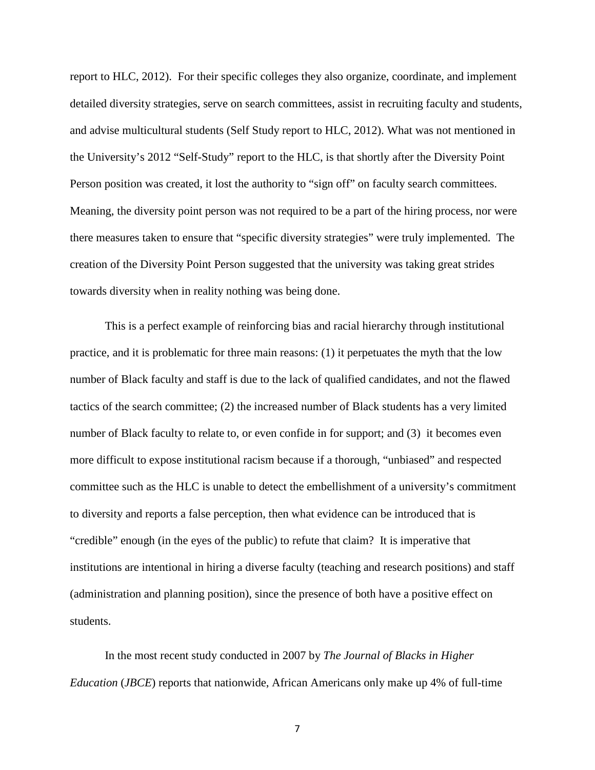report to HLC, 2012). For their specific colleges they also organize, coordinate, and implement detailed diversity strategies, serve on search committees, assist in recruiting faculty and students, and advise multicultural students (Self Study report to HLC, 2012). What was not mentioned in the University's 2012 "Self-Study" report to the HLC, is that shortly after the Diversity Point Person position was created, it lost the authority to "sign off" on faculty search committees. Meaning, the diversity point person was not required to be a part of the hiring process, nor were there measures taken to ensure that "specific diversity strategies" were truly implemented. The creation of the Diversity Point Person suggested that the university was taking great strides towards diversity when in reality nothing was being done.

This is a perfect example of reinforcing bias and racial hierarchy through institutional practice, and it is problematic for three main reasons: (1) it perpetuates the myth that the low number of Black faculty and staff is due to the lack of qualified candidates, and not the flawed tactics of the search committee; (2) the increased number of Black students has a very limited number of Black faculty to relate to, or even confide in for support; and (3) it becomes even more difficult to expose institutional racism because if a thorough, "unbiased" and respected committee such as the HLC is unable to detect the embellishment of a university's commitment to diversity and reports a false perception, then what evidence can be introduced that is "credible" enough (in the eyes of the public) to refute that claim? It is imperative that institutions are intentional in hiring a diverse faculty (teaching and research positions) and staff (administration and planning position), since the presence of both have a positive effect on students.

In the most recent study conducted in 2007 by *The Journal of Blacks in Higher Education* (*JBCE*) reports that nationwide, African Americans only make up 4% of full-time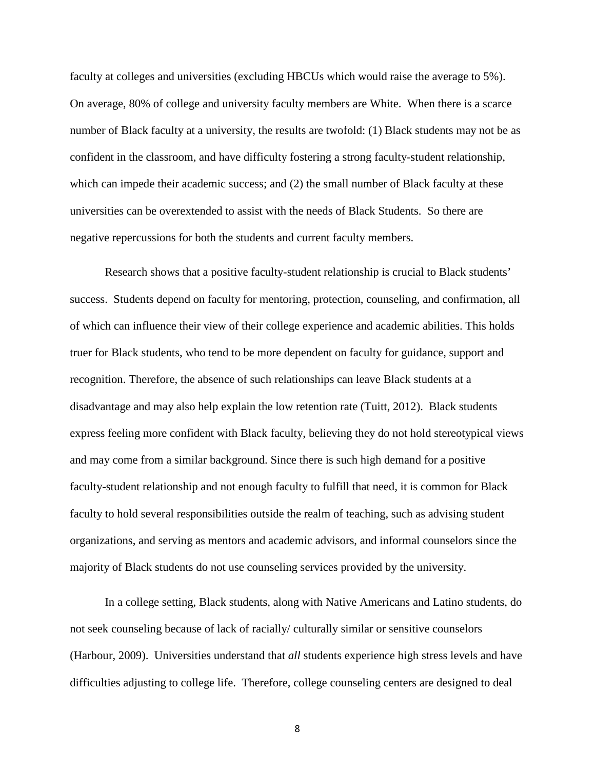faculty at colleges and universities (excluding HBCUs which would raise the average to 5%). On average, 80% of college and university faculty members are White. When there is a scarce number of Black faculty at a university, the results are twofold: (1) Black students may not be as confident in the classroom, and have difficulty fostering a strong faculty-student relationship, which can impede their academic success; and (2) the small number of Black faculty at these universities can be overextended to assist with the needs of Black Students. So there are negative repercussions for both the students and current faculty members.

Research shows that a positive faculty-student relationship is crucial to Black students' success. Students depend on faculty for mentoring, protection, counseling, and confirmation, all of which can influence their view of their college experience and academic abilities. This holds truer for Black students, who tend to be more dependent on faculty for guidance, support and recognition. Therefore, the absence of such relationships can leave Black students at a disadvantage and may also help explain the low retention rate (Tuitt, 2012). Black students express feeling more confident with Black faculty, believing they do not hold stereotypical views and may come from a similar background. Since there is such high demand for a positive faculty-student relationship and not enough faculty to fulfill that need, it is common for Black faculty to hold several responsibilities outside the realm of teaching, such as advising student organizations, and serving as mentors and academic advisors, and informal counselors since the majority of Black students do not use counseling services provided by the university.

In a college setting, Black students, along with Native Americans and Latino students, do not seek counseling because of lack of racially/ culturally similar or sensitive counselors (Harbour, 2009). Universities understand that *all* students experience high stress levels and have difficulties adjusting to college life. Therefore, college counseling centers are designed to deal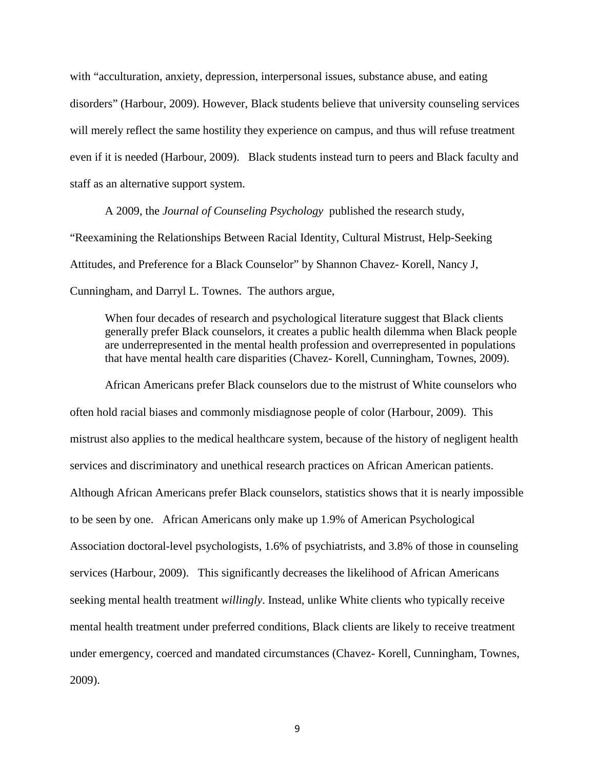with "acculturation, anxiety, depression, interpersonal issues, substance abuse, and eating disorders" (Harbour, 2009). However, Black students believe that university counseling services will merely reflect the same hostility they experience on campus, and thus will refuse treatment even if it is needed (Harbour, 2009). Black students instead turn to peers and Black faculty and staff as an alternative support system.

A 2009, the *Journal of Counseling Psychology* published the research study, "Reexamining the Relationships Between Racial Identity, Cultural Mistrust, Help-Seeking Attitudes, and Preference for a Black Counselor" by Shannon Chavez- Korell, Nancy J, Cunningham, and Darryl L. Townes. The authors argue,

When four decades of research and psychological literature suggest that Black clients generally prefer Black counselors, it creates a public health dilemma when Black people are underrepresented in the mental health profession and overrepresented in populations that have mental health care disparities (Chavez- Korell, Cunningham, Townes, 2009).

African Americans prefer Black counselors due to the mistrust of White counselors who often hold racial biases and commonly misdiagnose people of color (Harbour, 2009). This mistrust also applies to the medical healthcare system, because of the history of negligent health services and discriminatory and unethical research practices on African American patients. Although African Americans prefer Black counselors, statistics shows that it is nearly impossible to be seen by one. African Americans only make up 1.9% of American Psychological Association doctoral-level psychologists, 1.6% of psychiatrists, and 3.8% of those in counseling services (Harbour, 2009). This significantly decreases the likelihood of African Americans seeking mental health treatment *willingly*. Instead, unlike White clients who typically receive mental health treatment under preferred conditions, Black clients are likely to receive treatment under emergency, coerced and mandated circumstances (Chavez- Korell, Cunningham, Townes, 2009).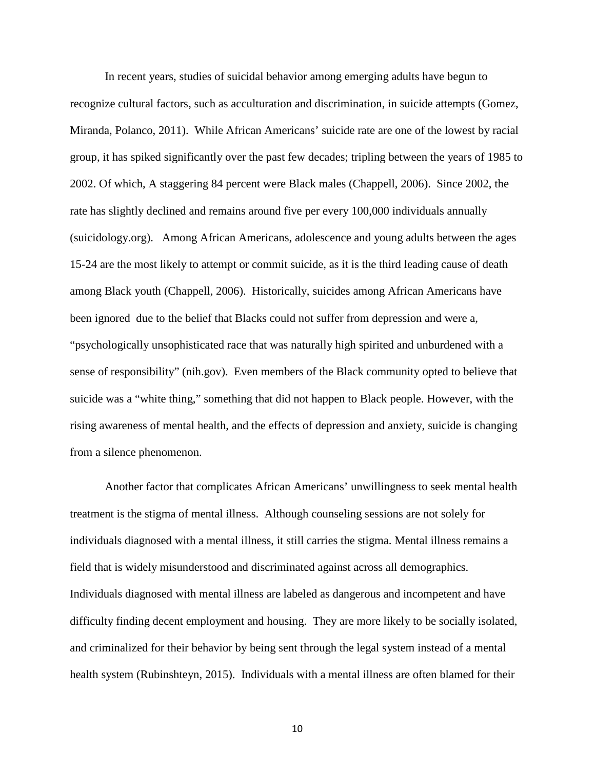In recent years, studies of suicidal behavior among emerging adults have begun to recognize cultural factors, such as acculturation and discrimination, in suicide attempts (Gomez, Miranda, Polanco, 2011). While African Americans' suicide rate are one of the lowest by racial group, it has spiked significantly over the past few decades; tripling between the years of 1985 to 2002. Of which, A staggering 84 percent were Black males (Chappell, 2006). Since 2002, the rate has slightly declined and remains around five per every 100,000 individuals annually (suicidology.org). Among African Americans, adolescence and young adults between the ages 15-24 are the most likely to attempt or commit suicide, as it is the third leading cause of death among Black youth (Chappell, 2006). Historically, suicides among African Americans have been ignored due to the belief that Blacks could not suffer from depression and were a, "psychologically unsophisticated race that was naturally high spirited and unburdened with a sense of responsibility" (nih.gov). Even members of the Black community opted to believe that suicide was a "white thing," something that did not happen to Black people. However, with the rising awareness of mental health, and the effects of depression and anxiety, suicide is changing from a silence phenomenon.

Another factor that complicates African Americans' unwillingness to seek mental health treatment is the stigma of mental illness. Although counseling sessions are not solely for individuals diagnosed with a mental illness, it still carries the stigma. Mental illness remains a field that is widely misunderstood and discriminated against across all demographics. Individuals diagnosed with mental illness are labeled as dangerous and incompetent and have difficulty finding decent employment and housing. They are more likely to be socially isolated, and criminalized for their behavior by being sent through the legal system instead of a mental health system (Rubinshteyn, 2015). Individuals with a mental illness are often blamed for their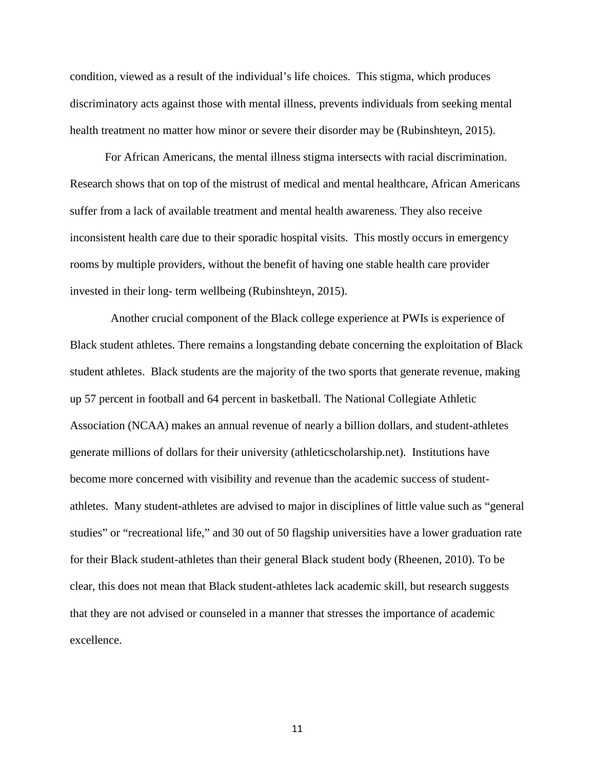condition, viewed as a result of the individual's life choices. This stigma, which produces discriminatory acts against those with mental illness, prevents individuals from seeking mental health treatment no matter how minor or severe their disorder may be (Rubinshteyn, 2015).

For African Americans, the mental illness stigma intersects with racial discrimination. Research shows that on top of the mistrust of medical and mental healthcare, African Americans suffer from a lack of available treatment and mental health awareness. They also receive inconsistent health care due to their sporadic hospital visits. This mostly occurs in emergency rooms by multiple providers, without the benefit of having one stable health care provider invested in their long- term wellbeing (Rubinshteyn, 2015).

 Another crucial component of the Black college experience at PWIs is experience of Black student athletes. There remains a longstanding debate concerning the exploitation of Black student athletes. Black students are the majority of the two sports that generate revenue, making up 57 percent in football and 64 percent in basketball. The National Collegiate Athletic Association (NCAA) makes an annual revenue of nearly a billion dollars, and student-athletes generate millions of dollars for their university (athleticscholarship.net). Institutions have become more concerned with visibility and revenue than the academic success of studentathletes. Many student-athletes are advised to major in disciplines of little value such as "general studies" or "recreational life," and 30 out of 50 flagship universities have a lower graduation rate for their Black student-athletes than their general Black student body (Rheenen, 2010). To be clear, this does not mean that Black student-athletes lack academic skill, but research suggests that they are not advised or counseled in a manner that stresses the importance of academic excellence.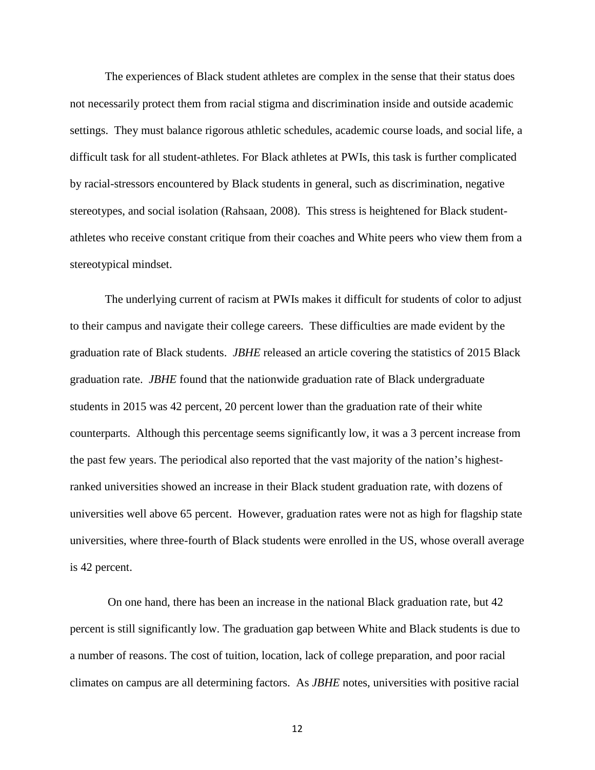The experiences of Black student athletes are complex in the sense that their status does not necessarily protect them from racial stigma and discrimination inside and outside academic settings. They must balance rigorous athletic schedules, academic course loads, and social life, a difficult task for all student-athletes. For Black athletes at PWIs, this task is further complicated by racial-stressors encountered by Black students in general, such as discrimination, negative stereotypes, and social isolation (Rahsaan, 2008). This stress is heightened for Black studentathletes who receive constant critique from their coaches and White peers who view them from a stereotypical mindset.

The underlying current of racism at PWIs makes it difficult for students of color to adjust to their campus and navigate their college careers. These difficulties are made evident by the graduation rate of Black students. *JBHE* released an article covering the statistics of 2015 Black graduation rate. *JBHE* found that the nationwide graduation rate of Black undergraduate students in 2015 was 42 percent, 20 percent lower than the graduation rate of their white counterparts. Although this percentage seems significantly low, it was a 3 percent increase from the past few years. The periodical also reported that the vast majority of the nation's highestranked universities showed an increase in their Black student graduation rate, with dozens of universities well above 65 percent. However, graduation rates were not as high for flagship state universities, where three-fourth of Black students were enrolled in the US, whose overall average is 42 percent.

On one hand, there has been an increase in the national Black graduation rate, but 42 percent is still significantly low. The graduation gap between White and Black students is due to a number of reasons. The cost of tuition, location, lack of college preparation, and poor racial climates on campus are all determining factors. As *JBHE* notes, universities with positive racial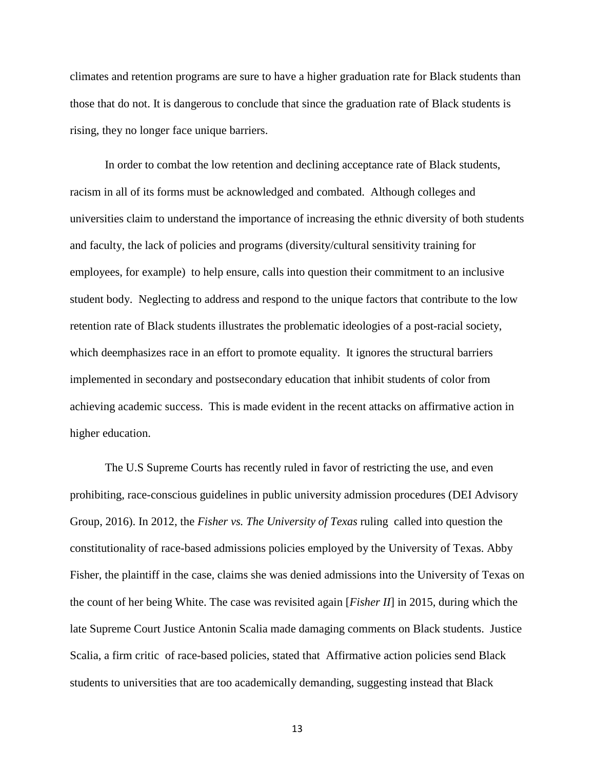climates and retention programs are sure to have a higher graduation rate for Black students than those that do not. It is dangerous to conclude that since the graduation rate of Black students is rising, they no longer face unique barriers.

In order to combat the low retention and declining acceptance rate of Black students, racism in all of its forms must be acknowledged and combated. Although colleges and universities claim to understand the importance of increasing the ethnic diversity of both students and faculty, the lack of policies and programs (diversity/cultural sensitivity training for employees, for example) to help ensure, calls into question their commitment to an inclusive student body. Neglecting to address and respond to the unique factors that contribute to the low retention rate of Black students illustrates the problematic ideologies of a post-racial society, which deemphasizes race in an effort to promote equality. It ignores the structural barriers implemented in secondary and postsecondary education that inhibit students of color from achieving academic success. This is made evident in the recent attacks on affirmative action in higher education.

The U.S Supreme Courts has recently ruled in favor of restricting the use, and even prohibiting, race-conscious guidelines in public university admission procedures (DEI Advisory Group, 2016). In 2012, the *Fisher vs. The University of Texas* ruling called into question the constitutionality of race-based admissions policies employed by the University of Texas. Abby Fisher, the plaintiff in the case, claims she was denied admissions into the University of Texas on the count of her being White. The case was revisited again [*Fisher II*] in 2015, during which the late Supreme Court Justice Antonin Scalia made damaging comments on Black students. Justice Scalia, a firm critic of race-based policies, stated that Affirmative action policies send Black students to universities that are too academically demanding, suggesting instead that Black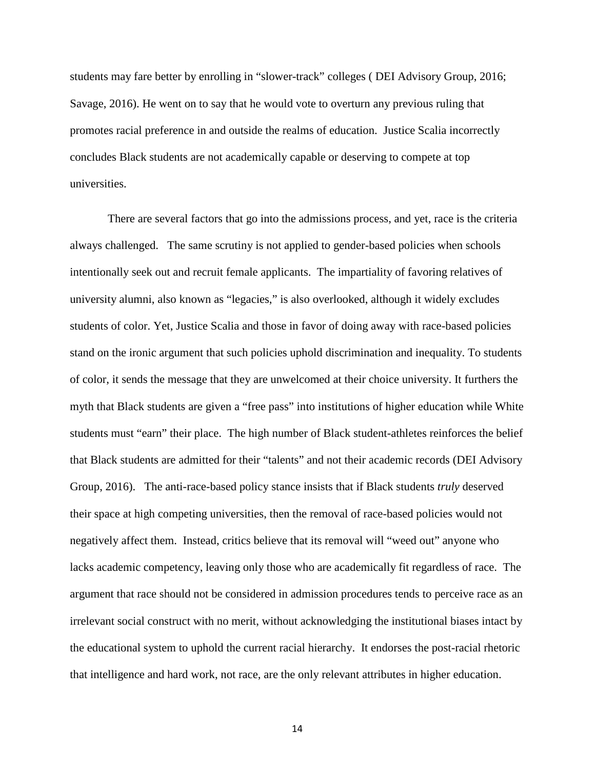students may fare better by enrolling in "slower-track" colleges ( DEI Advisory Group, 2016; Savage, 2016). He went on to say that he would vote to overturn any previous ruling that promotes racial preference in and outside the realms of education. Justice Scalia incorrectly concludes Black students are not academically capable or deserving to compete at top universities.

There are several factors that go into the admissions process, and yet, race is the criteria always challenged. The same scrutiny is not applied to gender-based policies when schools intentionally seek out and recruit female applicants. The impartiality of favoring relatives of university alumni, also known as "legacies," is also overlooked, although it widely excludes students of color. Yet, Justice Scalia and those in favor of doing away with race-based policies stand on the ironic argument that such policies uphold discrimination and inequality. To students of color, it sends the message that they are unwelcomed at their choice university. It furthers the myth that Black students are given a "free pass" into institutions of higher education while White students must "earn" their place. The high number of Black student-athletes reinforces the belief that Black students are admitted for their "talents" and not their academic records (DEI Advisory Group, 2016). The anti-race-based policy stance insists that if Black students *truly* deserved their space at high competing universities, then the removal of race-based policies would not negatively affect them. Instead, critics believe that its removal will "weed out" anyone who lacks academic competency, leaving only those who are academically fit regardless of race. The argument that race should not be considered in admission procedures tends to perceive race as an irrelevant social construct with no merit, without acknowledging the institutional biases intact by the educational system to uphold the current racial hierarchy. It endorses the post-racial rhetoric that intelligence and hard work, not race, are the only relevant attributes in higher education.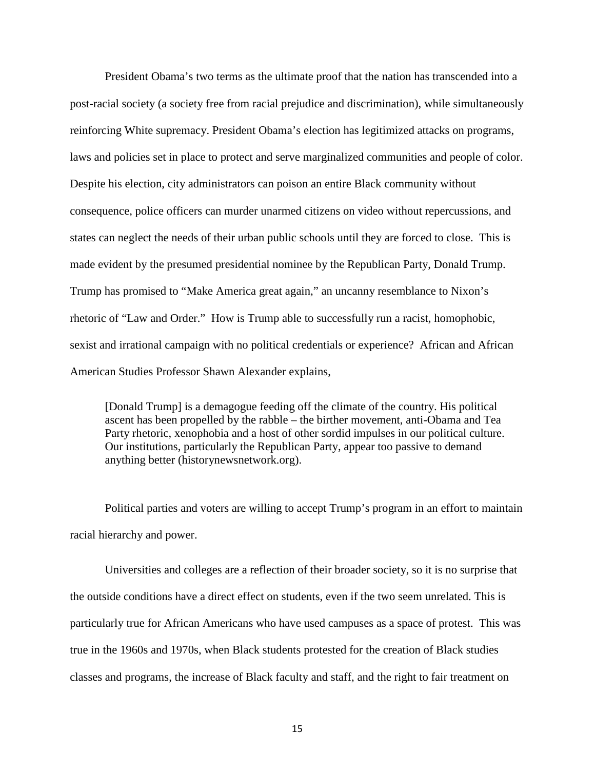President Obama's two terms as the ultimate proof that the nation has transcended into a post-racial society (a society free from racial prejudice and discrimination), while simultaneously reinforcing White supremacy. President Obama's election has legitimized attacks on programs, laws and policies set in place to protect and serve marginalized communities and people of color. Despite his election, city administrators can poison an entire Black community without consequence, police officers can murder unarmed citizens on video without repercussions, and states can neglect the needs of their urban public schools until they are forced to close. This is made evident by the presumed presidential nominee by the Republican Party, Donald Trump. Trump has promised to "Make America great again," an uncanny resemblance to Nixon's rhetoric of "Law and Order." How is Trump able to successfully run a racist, homophobic, sexist and irrational campaign with no political credentials or experience? African and African American Studies Professor Shawn Alexander explains,

[Donald Trump] is a demagogue feeding off the climate of the country. His political ascent has been propelled by the rabble – the birther movement, anti-Obama and Tea Party rhetoric, xenophobia and a host of other sordid impulses in our political culture. Our institutions, particularly the Republican Party, appear too passive to demand anything better (historynewsnetwork.org).

Political parties and voters are willing to accept Trump's program in an effort to maintain racial hierarchy and power.

Universities and colleges are a reflection of their broader society, so it is no surprise that the outside conditions have a direct effect on students, even if the two seem unrelated. This is particularly true for African Americans who have used campuses as a space of protest. This was true in the 1960s and 1970s, when Black students protested for the creation of Black studies classes and programs, the increase of Black faculty and staff, and the right to fair treatment on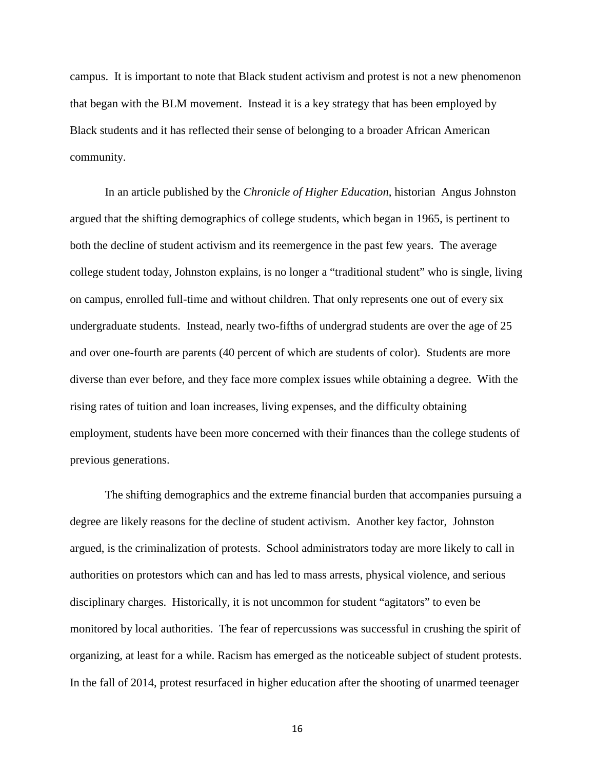campus. It is important to note that Black student activism and protest is not a new phenomenon that began with the BLM movement. Instead it is a key strategy that has been employed by Black students and it has reflected their sense of belonging to a broader African American community.

In an article published by the *Chronicle of Higher Education*, historian Angus Johnston argued that the shifting demographics of college students, which began in 1965, is pertinent to both the decline of student activism and its reemergence in the past few years. The average college student today, Johnston explains, is no longer a "traditional student" who is single, living on campus, enrolled full-time and without children. That only represents one out of every six undergraduate students. Instead, nearly two-fifths of undergrad students are over the age of 25 and over one-fourth are parents (40 percent of which are students of color). Students are more diverse than ever before, and they face more complex issues while obtaining a degree. With the rising rates of tuition and loan increases, living expenses, and the difficulty obtaining employment, students have been more concerned with their finances than the college students of previous generations.

The shifting demographics and the extreme financial burden that accompanies pursuing a degree are likely reasons for the decline of student activism. Another key factor, Johnston argued, is the criminalization of protests. School administrators today are more likely to call in authorities on protestors which can and has led to mass arrests, physical violence, and serious disciplinary charges. Historically, it is not uncommon for student "agitators" to even be monitored by local authorities. The fear of repercussions was successful in crushing the spirit of organizing, at least for a while. Racism has emerged as the noticeable subject of student protests. In the fall of 2014, protest resurfaced in higher education after the shooting of unarmed teenager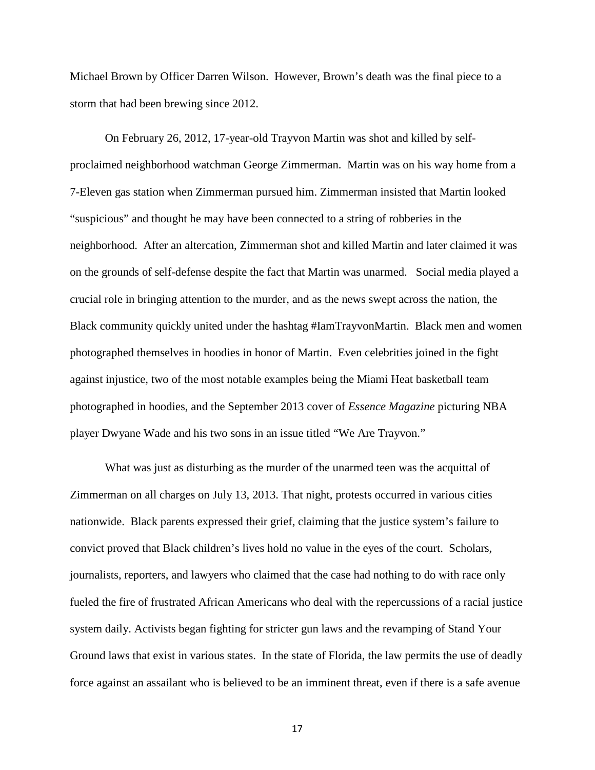Michael Brown by Officer Darren Wilson. However, Brown's death was the final piece to a storm that had been brewing since 2012.

On February 26, 2012, 17-year-old Trayvon Martin was shot and killed by selfproclaimed neighborhood watchman George Zimmerman. Martin was on his way home from a 7-Eleven gas station when Zimmerman pursued him. Zimmerman insisted that Martin looked "suspicious" and thought he may have been connected to a string of robberies in the neighborhood. After an altercation, Zimmerman shot and killed Martin and later claimed it was on the grounds of self-defense despite the fact that Martin was unarmed. Social media played a crucial role in bringing attention to the murder, and as the news swept across the nation, the Black community quickly united under the hashtag #IamTrayvonMartin. Black men and women photographed themselves in hoodies in honor of Martin. Even celebrities joined in the fight against injustice, two of the most notable examples being the Miami Heat basketball team photographed in hoodies, and the September 2013 cover of *Essence Magazine* picturing NBA player Dwyane Wade and his two sons in an issue titled "We Are Trayvon."

What was just as disturbing as the murder of the unarmed teen was the acquittal of Zimmerman on all charges on July 13, 2013. That night, protests occurred in various cities nationwide. Black parents expressed their grief, claiming that the justice system's failure to convict proved that Black children's lives hold no value in the eyes of the court. Scholars, journalists, reporters, and lawyers who claimed that the case had nothing to do with race only fueled the fire of frustrated African Americans who deal with the repercussions of a racial justice system daily. Activists began fighting for stricter gun laws and the revamping of Stand Your Ground laws that exist in various states. In the state of Florida, the law permits the use of deadly force against an assailant who is believed to be an imminent threat, even if there is a safe avenue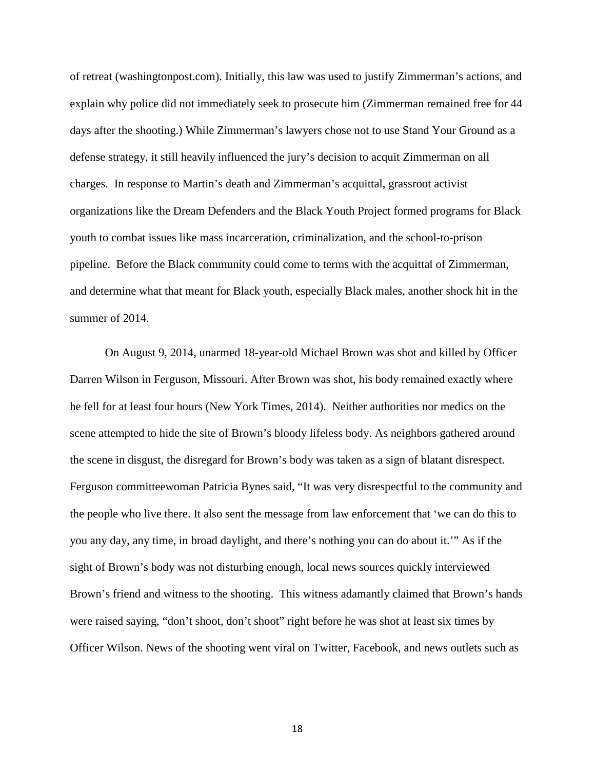of retreat (washingtonpost.com). Initially, this law was used to justify Zimmerman's actions, and explain why police did not immediately seek to prosecute him (Zimmerman remained free for 44 days after the shooting.) While Zimmerman's lawyers chose not to use Stand Your Ground as a defense strategy, it still heavily influenced the jury's decision to acquit Zimmerman on all charges. In response to Martin's death and Zimmerman's acquittal, grassroot activist organizations like the Dream Defenders and the Black Youth Project formed programs for Black youth to combat issues like mass incarceration, criminalization, and the school-to-prison pipeline. Before the Black community could come to terms with the acquittal of Zimmerman, and determine what that meant for Black youth, especially Black males, another shock hit in the summer of 2014.

On August 9, 2014, unarmed 18-year-old Michael Brown was shot and killed by Officer Darren Wilson in Ferguson, Missouri. After Brown was shot, his body remained exactly where he fell for at least four hours (New York Times, 2014). Neither authorities nor medics on the scene attempted to hide the site of Brown's bloody lifeless body. As neighbors gathered around the scene in disgust, the disregard for Brown's body was taken as a sign of blatant disrespect. Ferguson committeewoman Patricia Bynes said, "It was very disrespectful to the community and the people who live there. It also sent the message from law enforcement that 'we can do this to you any day, any time, in broad daylight, and there's nothing you can do about it.'" As if the sight of Brown's body was not disturbing enough, local news sources quickly interviewed Brown's friend and witness to the shooting. This witness adamantly claimed that Brown's hands were raised saying, "don't shoot, don't shoot" right before he was shot at least six times by Officer Wilson. News of the shooting went viral on Twitter, Facebook, and news outlets such as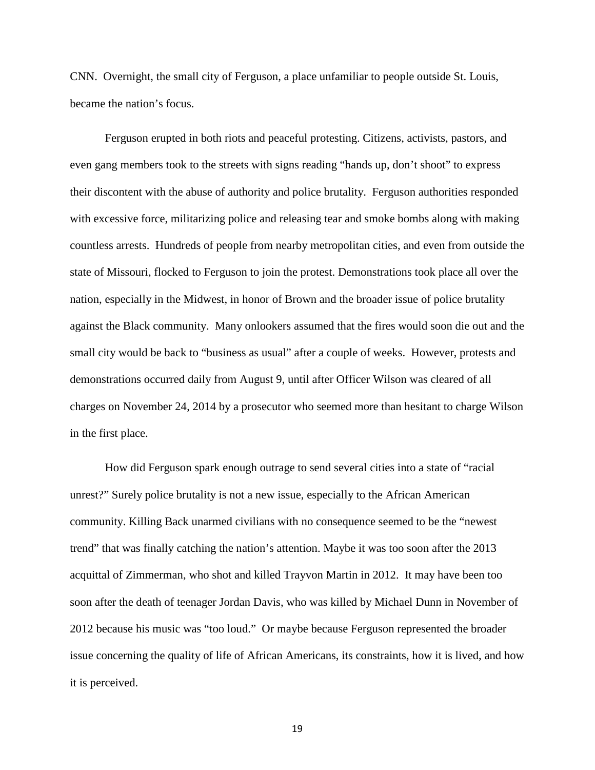CNN. Overnight, the small city of Ferguson, a place unfamiliar to people outside St. Louis, became the nation's focus.

Ferguson erupted in both riots and peaceful protesting. Citizens, activists, pastors, and even gang members took to the streets with signs reading "hands up, don't shoot" to express their discontent with the abuse of authority and police brutality. Ferguson authorities responded with excessive force, militarizing police and releasing tear and smoke bombs along with making countless arrests. Hundreds of people from nearby metropolitan cities, and even from outside the state of Missouri, flocked to Ferguson to join the protest. Demonstrations took place all over the nation, especially in the Midwest, in honor of Brown and the broader issue of police brutality against the Black community. Many onlookers assumed that the fires would soon die out and the small city would be back to "business as usual" after a couple of weeks. However, protests and demonstrations occurred daily from August 9, until after Officer Wilson was cleared of all charges on November 24, 2014 by a prosecutor who seemed more than hesitant to charge Wilson in the first place.

How did Ferguson spark enough outrage to send several cities into a state of "racial unrest?" Surely police brutality is not a new issue, especially to the African American community. Killing Back unarmed civilians with no consequence seemed to be the "newest trend" that was finally catching the nation's attention. Maybe it was too soon after the 2013 acquittal of Zimmerman, who shot and killed Trayvon Martin in 2012. It may have been too soon after the death of teenager Jordan Davis, who was killed by Michael Dunn in November of 2012 because his music was "too loud." Or maybe because Ferguson represented the broader issue concerning the quality of life of African Americans, its constraints, how it is lived, and how it is perceived.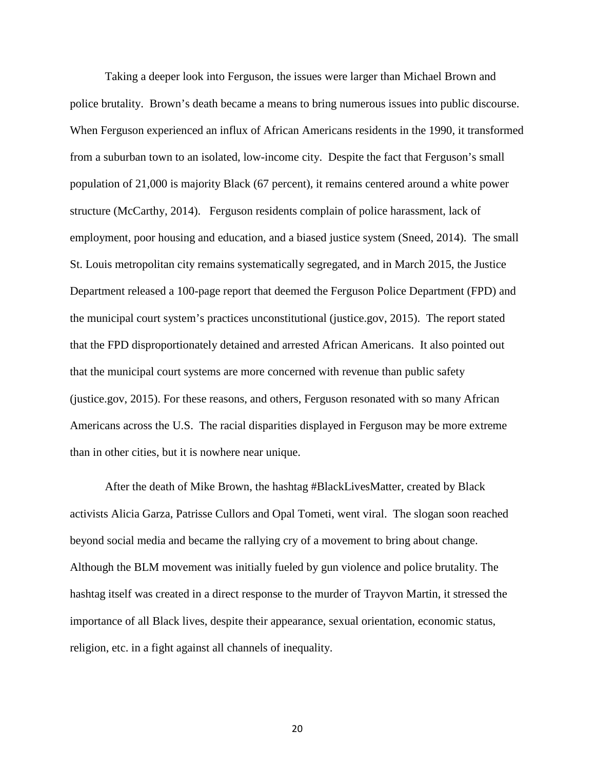Taking a deeper look into Ferguson, the issues were larger than Michael Brown and police brutality. Brown's death became a means to bring numerous issues into public discourse. When Ferguson experienced an influx of African Americans residents in the 1990, it transformed from a suburban town to an isolated, low-income city. Despite the fact that Ferguson's small population of 21,000 is majority Black (67 percent), it remains centered around a white power structure (McCarthy, 2014). Ferguson residents complain of police harassment, lack of employment, poor housing and education, and a biased justice system (Sneed, 2014). The small St. Louis metropolitan city remains systematically segregated, and in March 2015, the Justice Department released a 100-page report that deemed the Ferguson Police Department (FPD) and the municipal court system's practices unconstitutional (justice.gov, 2015). The report stated that the FPD disproportionately detained and arrested African Americans. It also pointed out that the municipal court systems are more concerned with revenue than public safety (justice.gov, 2015). For these reasons, and others, Ferguson resonated with so many African Americans across the U.S. The racial disparities displayed in Ferguson may be more extreme than in other cities, but it is nowhere near unique.

After the death of Mike Brown, the hashtag #BlackLivesMatter, created by Black activists Alicia Garza, Patrisse Cullors and Opal Tometi, went viral. The slogan soon reached beyond social media and became the rallying cry of a movement to bring about change. Although the BLM movement was initially fueled by gun violence and police brutality. The hashtag itself was created in a direct response to the murder of Trayvon Martin, it stressed the importance of all Black lives, despite their appearance, sexual orientation, economic status, religion, etc. in a fight against all channels of inequality.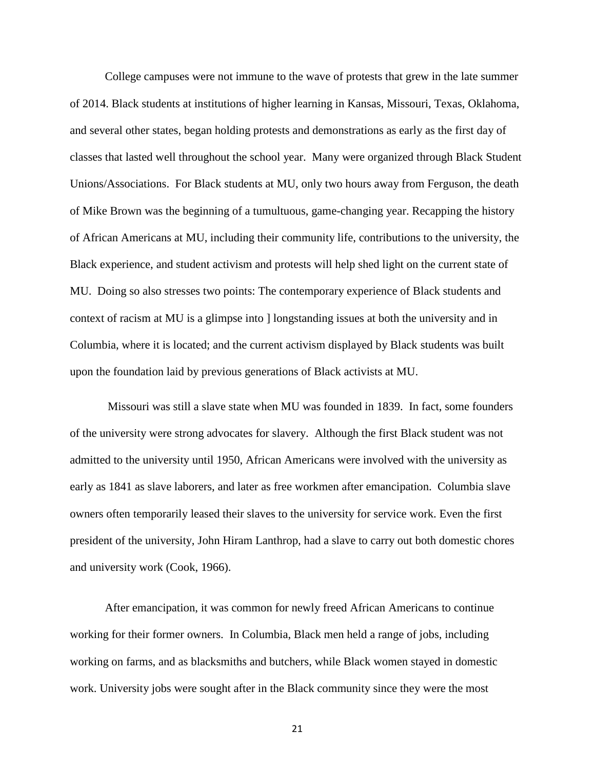College campuses were not immune to the wave of protests that grew in the late summer of 2014. Black students at institutions of higher learning in Kansas, Missouri, Texas, Oklahoma, and several other states, began holding protests and demonstrations as early as the first day of classes that lasted well throughout the school year. Many were organized through Black Student Unions/Associations. For Black students at MU, only two hours away from Ferguson, the death of Mike Brown was the beginning of a tumultuous, game-changing year. Recapping the history of African Americans at MU, including their community life, contributions to the university, the Black experience, and student activism and protests will help shed light on the current state of MU. Doing so also stresses two points: The contemporary experience of Black students and context of racism at MU is a glimpse into ] longstanding issues at both the university and in Columbia, where it is located; and the current activism displayed by Black students was built upon the foundation laid by previous generations of Black activists at MU.

Missouri was still a slave state when MU was founded in 1839. In fact, some founders of the university were strong advocates for slavery. Although the first Black student was not admitted to the university until 1950, African Americans were involved with the university as early as 1841 as slave laborers, and later as free workmen after emancipation. Columbia slave owners often temporarily leased their slaves to the university for service work. Even the first president of the university, John Hiram Lanthrop, had a slave to carry out both domestic chores and university work (Cook, 1966).

After emancipation, it was common for newly freed African Americans to continue working for their former owners. In Columbia, Black men held a range of jobs, including working on farms, and as blacksmiths and butchers, while Black women stayed in domestic work. University jobs were sought after in the Black community since they were the most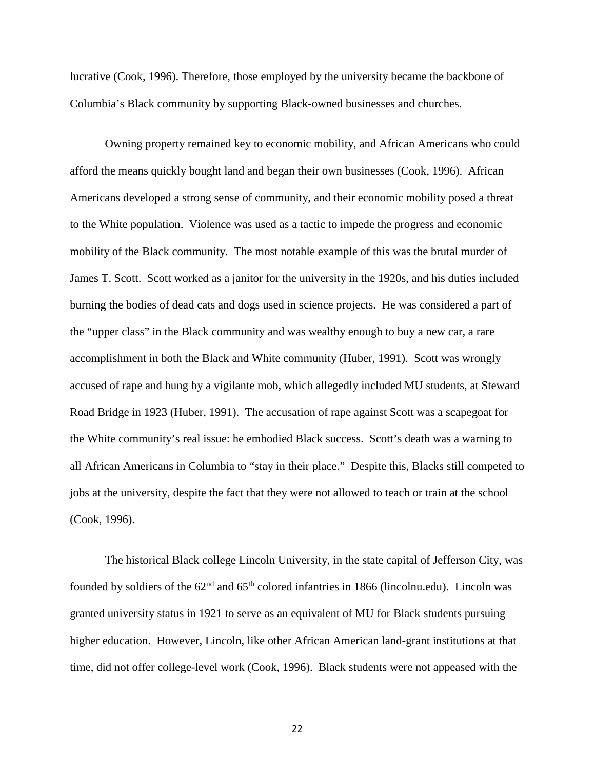lucrative (Cook, 1996). Therefore, those employed by the university became the backbone of Columbia's Black community by supporting Black-owned businesses and churches.

Owning property remained key to economic mobility, and African Americans who could afford the means quickly bought land and began their own businesses (Cook, 1996). African Americans developed a strong sense of community, and their economic mobility posed a threat to the White population. Violence was used as a tactic to impede the progress and economic mobility of the Black community. The most notable example of this was the brutal murder of James T. Scott. Scott worked as a janitor for the university in the 1920s, and his duties included burning the bodies of dead cats and dogs used in science projects. He was considered a part of the "upper class" in the Black community and was wealthy enough to buy a new car, a rare accomplishment in both the Black and White community (Huber, 1991). Scott was wrongly accused of rape and hung by a vigilante mob, which allegedly included MU students, at Steward Road Bridge in 1923 (Huber, 1991). The accusation of rape against Scott was a scapegoat for the White community's real issue: he embodied Black success. Scott's death was a warning to all African Americans in Columbia to "stay in their place." Despite this, Blacks still competed to jobs at the university, despite the fact that they were not allowed to teach or train at the school (Cook, 1996).

The historical Black college Lincoln University, in the state capital of Jefferson City, was founded by soldiers of the  $62<sup>nd</sup>$  and  $65<sup>th</sup>$  colored infantries in 1866 (lincolnu.edu). Lincoln was granted university status in 1921 to serve as an equivalent of MU for Black students pursuing higher education. However, Lincoln, like other African American land-grant institutions at that time, did not offer college-level work (Cook, 1996). Black students were not appeased with the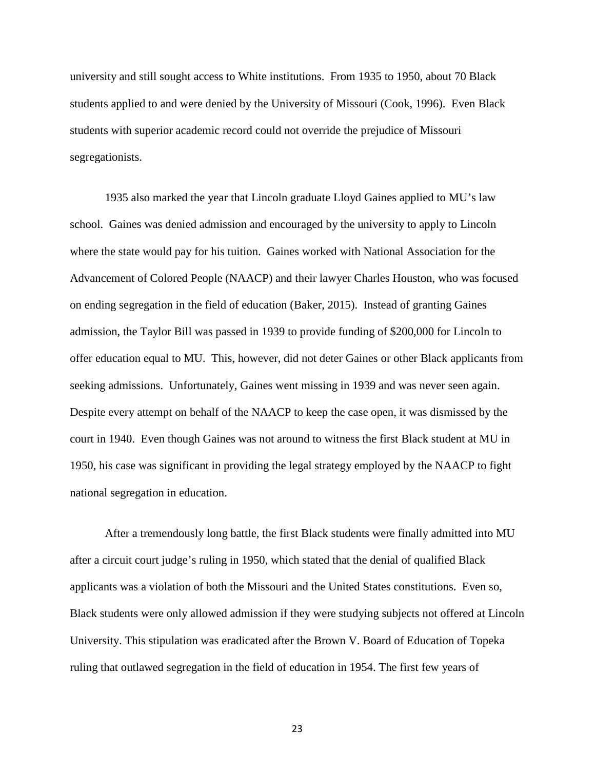university and still sought access to White institutions. From 1935 to 1950, about 70 Black students applied to and were denied by the University of Missouri (Cook, 1996). Even Black students with superior academic record could not override the prejudice of Missouri segregationists.

1935 also marked the year that Lincoln graduate Lloyd Gaines applied to MU's law school. Gaines was denied admission and encouraged by the university to apply to Lincoln where the state would pay for his tuition. Gaines worked with National Association for the Advancement of Colored People (NAACP) and their lawyer Charles Houston, who was focused on ending segregation in the field of education (Baker, 2015). Instead of granting Gaines admission, the Taylor Bill was passed in 1939 to provide funding of \$200,000 for Lincoln to offer education equal to MU. This, however, did not deter Gaines or other Black applicants from seeking admissions. Unfortunately, Gaines went missing in 1939 and was never seen again. Despite every attempt on behalf of the NAACP to keep the case open, it was dismissed by the court in 1940. Even though Gaines was not around to witness the first Black student at MU in 1950, his case was significant in providing the legal strategy employed by the NAACP to fight national segregation in education.

After a tremendously long battle, the first Black students were finally admitted into MU after a circuit court judge's ruling in 1950, which stated that the denial of qualified Black applicants was a violation of both the Missouri and the United States constitutions. Even so, Black students were only allowed admission if they were studying subjects not offered at Lincoln University. This stipulation was eradicated after the Brown V. Board of Education of Topeka ruling that outlawed segregation in the field of education in 1954. The first few years of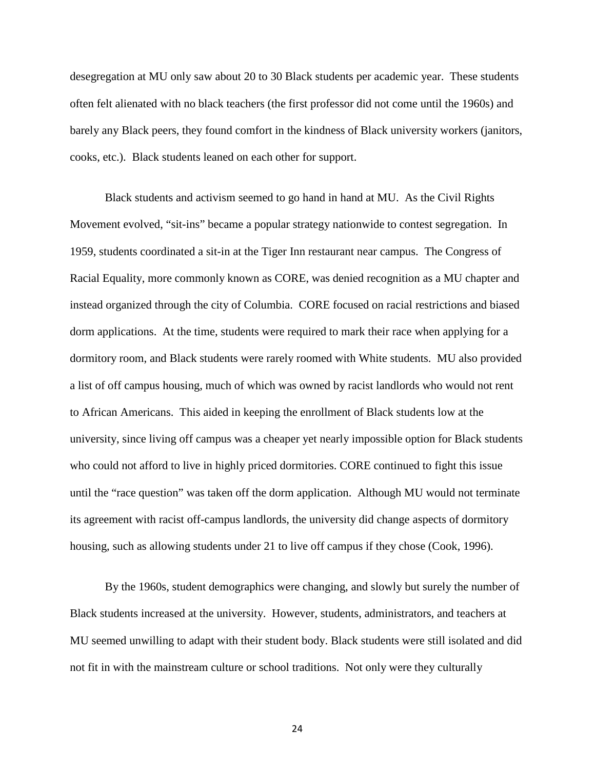desegregation at MU only saw about 20 to 30 Black students per academic year. These students often felt alienated with no black teachers (the first professor did not come until the 1960s) and barely any Black peers, they found comfort in the kindness of Black university workers (janitors, cooks, etc.). Black students leaned on each other for support.

Black students and activism seemed to go hand in hand at MU. As the Civil Rights Movement evolved, "sit-ins" became a popular strategy nationwide to contest segregation. In 1959, students coordinated a sit-in at the Tiger Inn restaurant near campus. The Congress of Racial Equality, more commonly known as CORE, was denied recognition as a MU chapter and instead organized through the city of Columbia. CORE focused on racial restrictions and biased dorm applications. At the time, students were required to mark their race when applying for a dormitory room, and Black students were rarely roomed with White students. MU also provided a list of off campus housing, much of which was owned by racist landlords who would not rent to African Americans. This aided in keeping the enrollment of Black students low at the university, since living off campus was a cheaper yet nearly impossible option for Black students who could not afford to live in highly priced dormitories. CORE continued to fight this issue until the "race question" was taken off the dorm application. Although MU would not terminate its agreement with racist off-campus landlords, the university did change aspects of dormitory housing, such as allowing students under 21 to live off campus if they chose (Cook, 1996).

By the 1960s, student demographics were changing, and slowly but surely the number of Black students increased at the university. However, students, administrators, and teachers at MU seemed unwilling to adapt with their student body. Black students were still isolated and did not fit in with the mainstream culture or school traditions. Not only were they culturally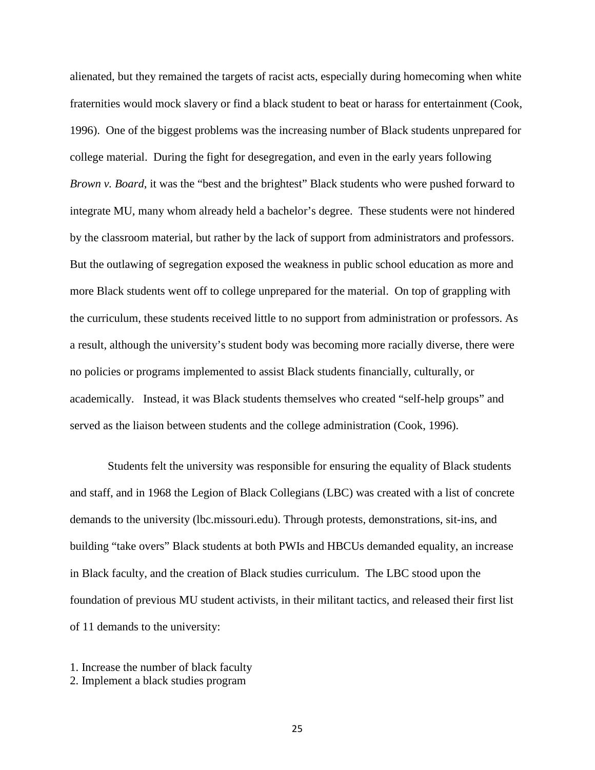alienated, but they remained the targets of racist acts, especially during homecoming when white fraternities would mock slavery or find a black student to beat or harass for entertainment (Cook, 1996). One of the biggest problems was the increasing number of Black students unprepared for college material. During the fight for desegregation, and even in the early years following *Brown v. Board*, it was the "best and the brightest" Black students who were pushed forward to integrate MU, many whom already held a bachelor's degree. These students were not hindered by the classroom material, but rather by the lack of support from administrators and professors. But the outlawing of segregation exposed the weakness in public school education as more and more Black students went off to college unprepared for the material. On top of grappling with the curriculum, these students received little to no support from administration or professors. As a result, although the university's student body was becoming more racially diverse, there were no policies or programs implemented to assist Black students financially, culturally, or academically. Instead, it was Black students themselves who created "self-help groups" and served as the liaison between students and the college administration (Cook, 1996).

Students felt the university was responsible for ensuring the equality of Black students and staff, and in 1968 the Legion of Black Collegians (LBC) was created with a list of concrete demands to the university (lbc.missouri.edu). Through protests, demonstrations, sit-ins, and building "take overs" Black students at both PWIs and HBCUs demanded equality, an increase in Black faculty, and the creation of Black studies curriculum. The LBC stood upon the foundation of previous MU student activists, in their militant tactics, and released their first list of 11 demands to the university:

1. Increase the number of black faculty

2. Implement a black studies program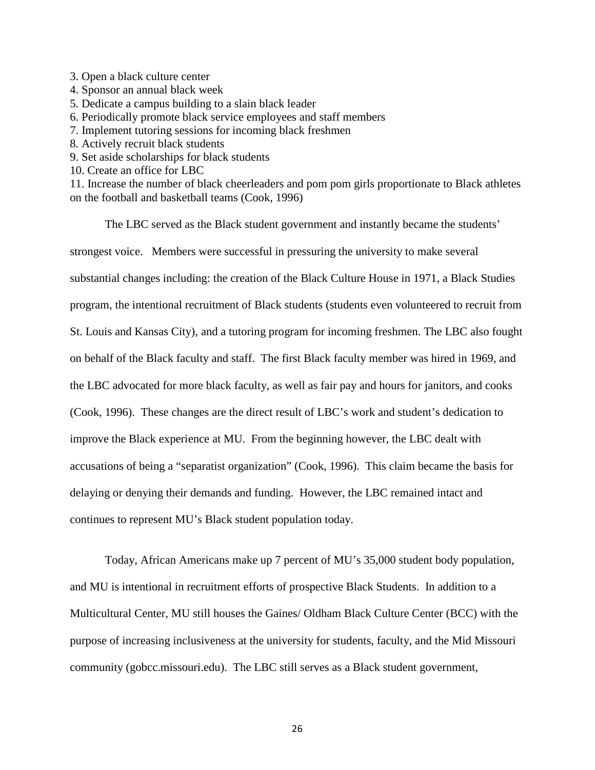- 3. Open a black culture center
- 4. Sponsor an annual black week
- 5. Dedicate a campus building to a slain black leader
- 6. Periodically promote black service employees and staff members
- 7. Implement tutoring sessions for incoming black freshmen
- 8. Actively recruit black students
- 9. Set aside scholarships for black students
- 10. Create an office for LBC

11. Increase the number of black cheerleaders and pom pom girls proportionate to Black athletes on the football and basketball teams (Cook, 1996)

The LBC served as the Black student government and instantly became the students' strongest voice. Members were successful in pressuring the university to make several substantial changes including: the creation of the Black Culture House in 1971, a Black Studies program, the intentional recruitment of Black students (students even volunteered to recruit from St. Louis and Kansas City), and a tutoring program for incoming freshmen. The LBC also fought on behalf of the Black faculty and staff. The first Black faculty member was hired in 1969, and the LBC advocated for more black faculty, as well as fair pay and hours for janitors, and cooks (Cook, 1996). These changes are the direct result of LBC's work and student's dedication to improve the Black experience at MU. From the beginning however, the LBC dealt with accusations of being a "separatist organization" (Cook, 1996). This claim became the basis for delaying or denying their demands and funding. However, the LBC remained intact and continues to represent MU's Black student population today.

Today, African Americans make up 7 percent of MU's 35,000 student body population, and MU is intentional in recruitment efforts of prospective Black Students. In addition to a Multicultural Center, MU still houses the Gaines/ Oldham Black Culture Center (BCC) with the purpose of increasing inclusiveness at the university for students, faculty, and the Mid Missouri community (gobcc.missouri.edu). The LBC still serves as a Black student government,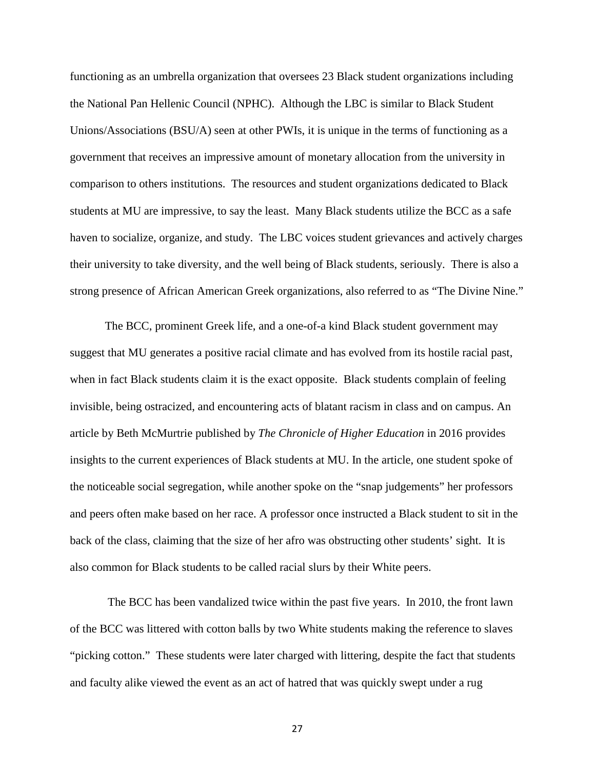functioning as an umbrella organization that oversees 23 Black student organizations including the National Pan Hellenic Council (NPHC). Although the LBC is similar to Black Student Unions/Associations (BSU/A) seen at other PWIs, it is unique in the terms of functioning as a government that receives an impressive amount of monetary allocation from the university in comparison to others institutions. The resources and student organizations dedicated to Black students at MU are impressive, to say the least. Many Black students utilize the BCC as a safe haven to socialize, organize, and study. The LBC voices student grievances and actively charges their university to take diversity, and the well being of Black students, seriously. There is also a strong presence of African American Greek organizations, also referred to as "The Divine Nine."

The BCC, prominent Greek life, and a one-of-a kind Black student government may suggest that MU generates a positive racial climate and has evolved from its hostile racial past, when in fact Black students claim it is the exact opposite. Black students complain of feeling invisible, being ostracized, and encountering acts of blatant racism in class and on campus. An article by Beth McMurtrie published by *The Chronicle of Higher Education* in 2016 provides insights to the current experiences of Black students at MU. In the article, one student spoke of the noticeable social segregation, while another spoke on the "snap judgements" her professors and peers often make based on her race. A professor once instructed a Black student to sit in the back of the class, claiming that the size of her afro was obstructing other students' sight. It is also common for Black students to be called racial slurs by their White peers.

The BCC has been vandalized twice within the past five years. In 2010, the front lawn of the BCC was littered with cotton balls by two White students making the reference to slaves "picking cotton." These students were later charged with littering, despite the fact that students and faculty alike viewed the event as an act of hatred that was quickly swept under a rug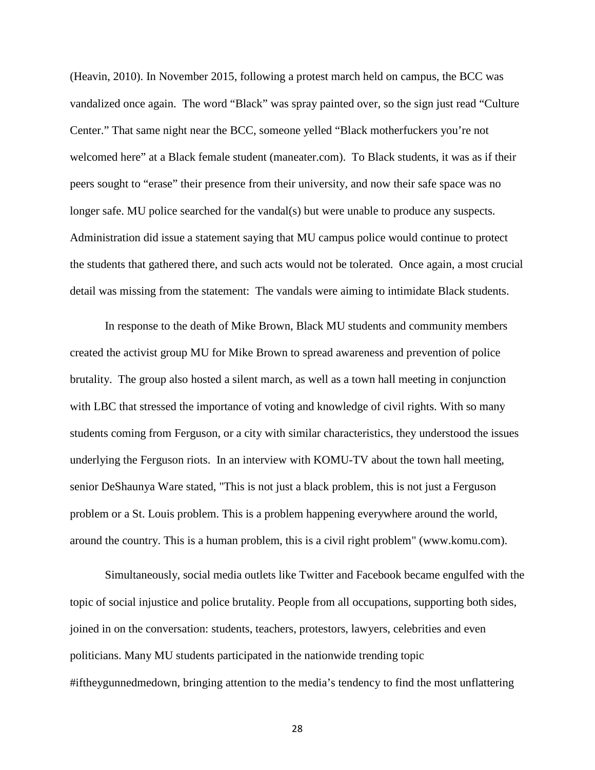(Heavin, 2010). In November 2015, following a protest march held on campus, the BCC was vandalized once again. The word "Black" was spray painted over, so the sign just read "Culture Center." That same night near the BCC, someone yelled "Black motherfuckers you're not welcomed here" at a Black female student (maneater.com). To Black students, it was as if their peers sought to "erase" their presence from their university, and now their safe space was no longer safe. MU police searched for the vandal(s) but were unable to produce any suspects. Administration did issue a statement saying that MU campus police would continue to protect the students that gathered there, and such acts would not be tolerated. Once again, a most crucial detail was missing from the statement: The vandals were aiming to intimidate Black students.

In response to the death of Mike Brown, Black MU students and community members created the activist group MU for Mike Brown to spread awareness and prevention of police brutality. The group also hosted a silent march, as well as a town hall meeting in conjunction with LBC that stressed the importance of voting and knowledge of civil rights. With so many students coming from Ferguson, or a city with similar characteristics, they understood the issues underlying the Ferguson riots. In an interview with KOMU-TV about the town hall meeting, senior DeShaunya Ware stated, "This is not just a black problem, this is not just a Ferguson problem or a St. Louis problem. This is a problem happening everywhere around the world, around the country. This is a human problem, this is a civil right problem" [\(www.komu.com\)](http://www.komu.com/).

Simultaneously, social media outlets like Twitter and Facebook became engulfed with the topic of social injustice and police brutality. People from all occupations, supporting both sides, joined in on the conversation: students, teachers, protestors, lawyers, celebrities and even politicians. Many MU students participated in the nationwide trending topic #iftheygunnedmedown, bringing attention to the media's tendency to find the most unflattering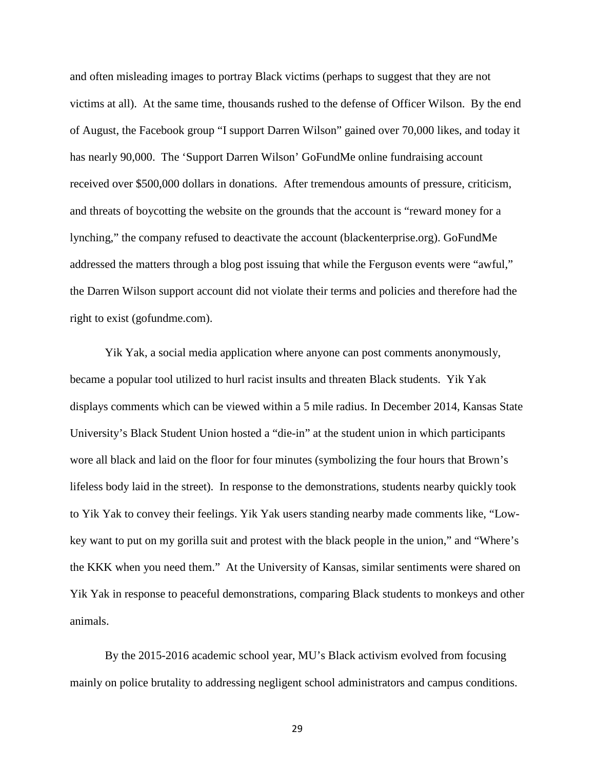and often misleading images to portray Black victims (perhaps to suggest that they are not victims at all). At the same time, thousands rushed to the defense of Officer Wilson. By the end of August, the Facebook group "I support Darren Wilson" gained over 70,000 likes, and today it has nearly 90,000. The 'Support Darren Wilson' GoFundMe online fundraising account received over \$500,000 dollars in donations. After tremendous amounts of pressure, criticism, and threats of boycotting the website on the grounds that the account is "reward money for a lynching," the company refused to deactivate the account (blackenterprise.org). GoFundMe addressed the matters through a blog post issuing that while the Ferguson events were "awful," the Darren Wilson support account did not violate their terms and policies and therefore had the right to exist (gofundme.com).

Yik Yak, a social media application where anyone can post comments anonymously, became a popular tool utilized to hurl racist insults and threaten Black students. Yik Yak displays comments which can be viewed within a 5 mile radius. In December 2014, Kansas State University's Black Student Union hosted a "die-in" at the student union in which participants wore all black and laid on the floor for four minutes (symbolizing the four hours that Brown's lifeless body laid in the street). In response to the demonstrations, students nearby quickly took to Yik Yak to convey their feelings. Yik Yak users standing nearby made comments like, "Lowkey want to put on my gorilla suit and protest with the black people in the union," and "Where's the KKK when you need them." At the University of Kansas, similar sentiments were shared on Yik Yak in response to peaceful demonstrations, comparing Black students to monkeys and other animals.

By the 2015-2016 academic school year, MU's Black activism evolved from focusing mainly on police brutality to addressing negligent school administrators and campus conditions.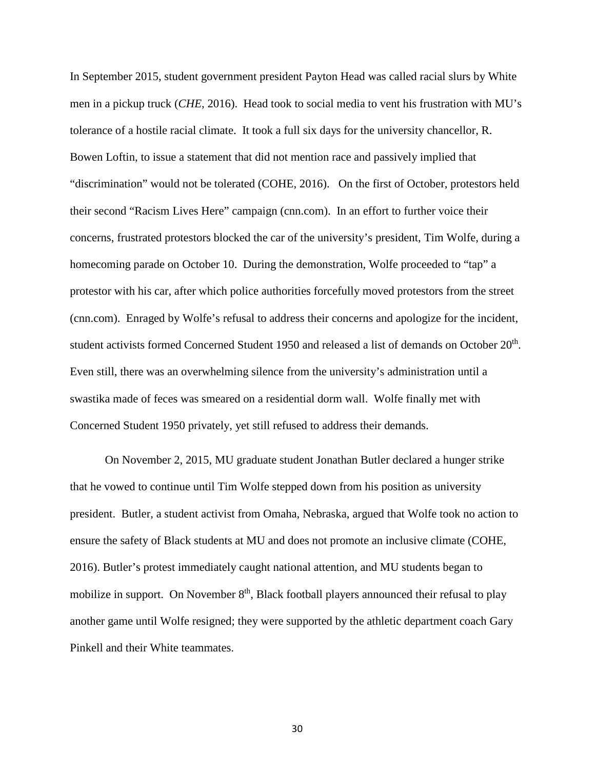In September 2015, student government president Payton Head was called racial slurs by White men in a pickup truck (*CHE*, 2016). Head took to social media to vent his frustration with MU's tolerance of a hostile racial climate. It took a full six days for the university chancellor, R. Bowen Loftin, to issue a statement that did not mention race and passively implied that "discrimination" would not be tolerated (COHE, 2016). On the first of October, protestors held their second "Racism Lives Here" campaign (cnn.com). In an effort to further voice their concerns, frustrated protestors blocked the car of the university's president, Tim Wolfe, during a homecoming parade on October 10. During the demonstration, Wolfe proceeded to "tap" a protestor with his car, after which police authorities forcefully moved protestors from the street (cnn.com). Enraged by Wolfe's refusal to address their concerns and apologize for the incident, student activists formed Concerned Student 1950 and released a list of demands on October 20<sup>th</sup>. Even still, there was an overwhelming silence from the university's administration until a swastika made of feces was smeared on a residential dorm wall. Wolfe finally met with Concerned Student 1950 privately, yet still refused to address their demands.

On November 2, 2015, MU graduate student Jonathan Butler declared a hunger strike that he vowed to continue until Tim Wolfe stepped down from his position as university president. Butler, a student activist from Omaha, Nebraska, argued that Wolfe took no action to ensure the safety of Black students at MU and does not promote an inclusive climate (COHE, 2016). Butler's protest immediately caught national attention, and MU students began to mobilize in support. On November  $8<sup>th</sup>$ , Black football players announced their refusal to play another game until Wolfe resigned; they were supported by the athletic department coach Gary Pinkell and their White teammates.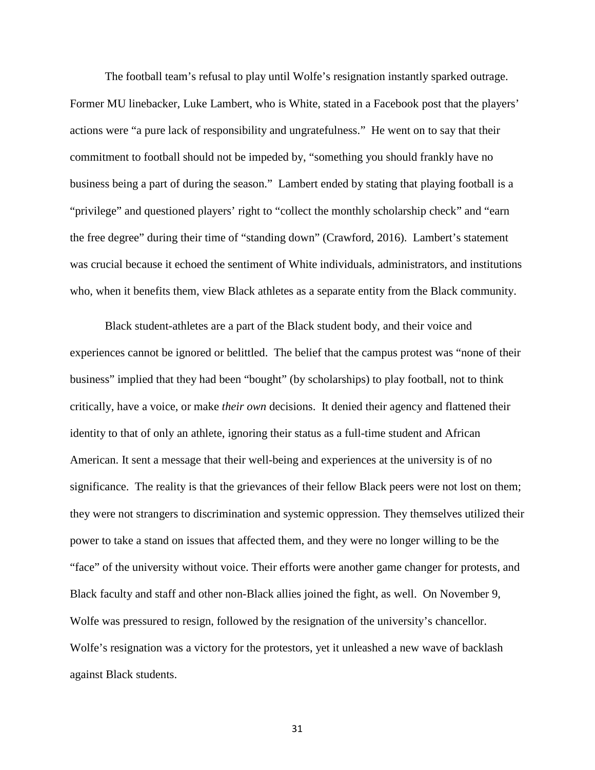The football team's refusal to play until Wolfe's resignation instantly sparked outrage. Former MU linebacker, Luke Lambert, who is White, stated in a Facebook post that the players' actions were "a pure lack of responsibility and ungratefulness." He went on to say that their commitment to football should not be impeded by, "something you should frankly have no business being a part of during the season." Lambert ended by stating that playing football is a "privilege" and questioned players' right to "collect the monthly scholarship check" and "earn the free degree" during their time of "standing down" (Crawford, 2016). Lambert's statement was crucial because it echoed the sentiment of White individuals, administrators, and institutions who, when it benefits them, view Black athletes as a separate entity from the Black community.

Black student-athletes are a part of the Black student body, and their voice and experiences cannot be ignored or belittled. The belief that the campus protest was "none of their business" implied that they had been "bought" (by scholarships) to play football, not to think critically, have a voice, or make *their own* decisions. It denied their agency and flattened their identity to that of only an athlete, ignoring their status as a full-time student and African American. It sent a message that their well-being and experiences at the university is of no significance. The reality is that the grievances of their fellow Black peers were not lost on them; they were not strangers to discrimination and systemic oppression. They themselves utilized their power to take a stand on issues that affected them, and they were no longer willing to be the "face" of the university without voice. Their efforts were another game changer for protests, and Black faculty and staff and other non-Black allies joined the fight, as well. On November 9, Wolfe was pressured to resign, followed by the resignation of the university's chancellor. Wolfe's resignation was a victory for the protestors, yet it unleashed a new wave of backlash against Black students.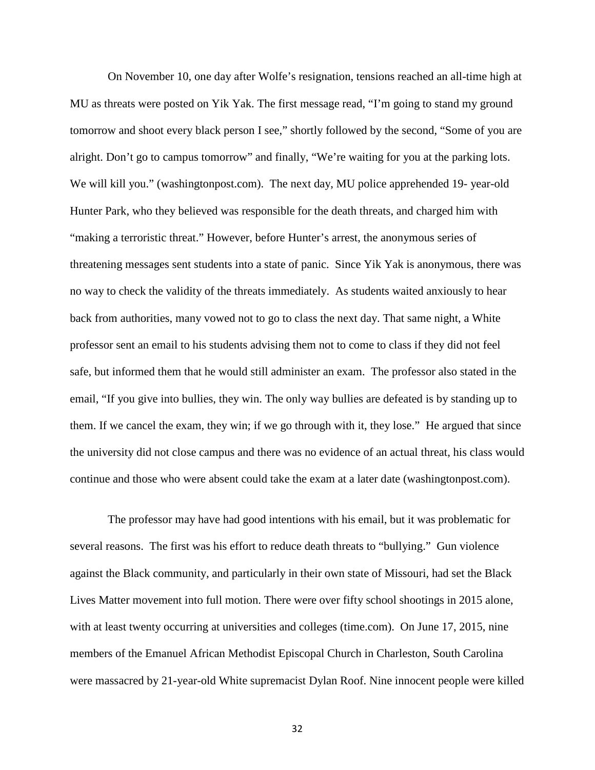On November 10, one day after Wolfe's resignation, tensions reached an all-time high at MU as threats were posted on Yik Yak. The first message read, "I'm going to stand my ground tomorrow and shoot every black person I see," shortly followed by the second, "Some of you are alright. Don't go to campus tomorrow" and finally, "We're waiting for you at the parking lots. We will kill you." (washingtonpost.com). The next day, MU police apprehended 19- year-old Hunter Park, who they believed was responsible for the death threats, and charged him with "making a terroristic threat." However, before Hunter's arrest, the anonymous series of threatening messages sent students into a state of panic. Since Yik Yak is anonymous, there was no way to check the validity of the threats immediately. As students waited anxiously to hear back from authorities, many vowed not to go to class the next day. That same night, a White professor sent an email to his students advising them not to come to class if they did not feel safe, but informed them that he would still administer an exam. The professor also stated in the email, "If you give into bullies, they win. The only way bullies are defeated is by standing up to them. If we cancel the exam, they win; if we go through with it, they lose." He argued that since the university did not close campus and there was no evidence of an actual threat, his class would continue and those who were absent could take the exam at a later date (washingtonpost.com).

The professor may have had good intentions with his email, but it was problematic for several reasons. The first was his effort to reduce death threats to "bullying." Gun violence against the Black community, and particularly in their own state of Missouri, had set the Black Lives Matter movement into full motion. There were over fifty school shootings in 2015 alone, with at least twenty occurring at universities and colleges (time.com). On June 17, 2015, nine members of the Emanuel African Methodist Episcopal Church in Charleston, South Carolina were massacred by 21-year-old White supremacist Dylan Roof. Nine innocent people were killed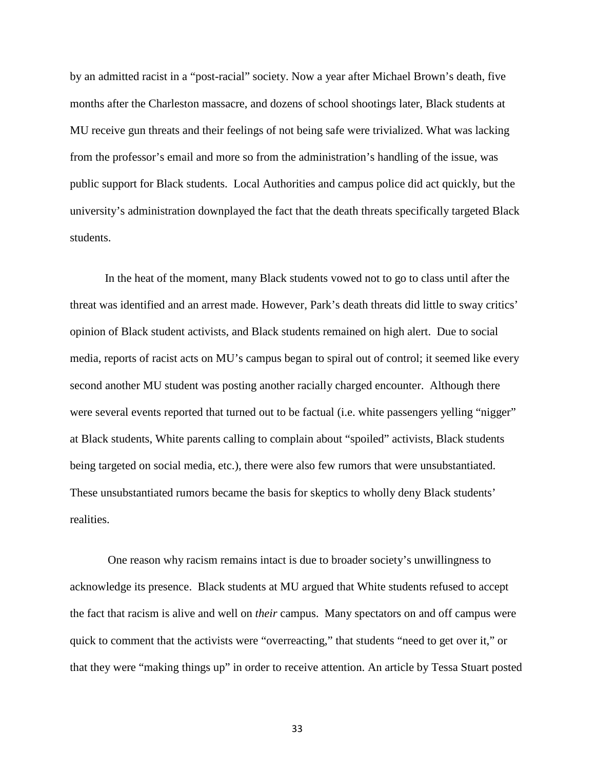by an admitted racist in a "post-racial" society. Now a year after Michael Brown's death, five months after the Charleston massacre, and dozens of school shootings later, Black students at MU receive gun threats and their feelings of not being safe were trivialized. What was lacking from the professor's email and more so from the administration's handling of the issue, was public support for Black students. Local Authorities and campus police did act quickly, but the university's administration downplayed the fact that the death threats specifically targeted Black students.

In the heat of the moment, many Black students vowed not to go to class until after the threat was identified and an arrest made. However, Park's death threats did little to sway critics' opinion of Black student activists, and Black students remained on high alert. Due to social media, reports of racist acts on MU's campus began to spiral out of control; it seemed like every second another MU student was posting another racially charged encounter. Although there were several events reported that turned out to be factual (i.e. white passengers yelling "nigger" at Black students, White parents calling to complain about "spoiled" activists, Black students being targeted on social media, etc.), there were also few rumors that were unsubstantiated. These unsubstantiated rumors became the basis for skeptics to wholly deny Black students' realities.

One reason why racism remains intact is due to broader society's unwillingness to acknowledge its presence. Black students at MU argued that White students refused to accept the fact that racism is alive and well on *their* campus. Many spectators on and off campus were quick to comment that the activists were "overreacting," that students "need to get over it," or that they were "making things up" in order to receive attention. An article by Tessa Stuart posted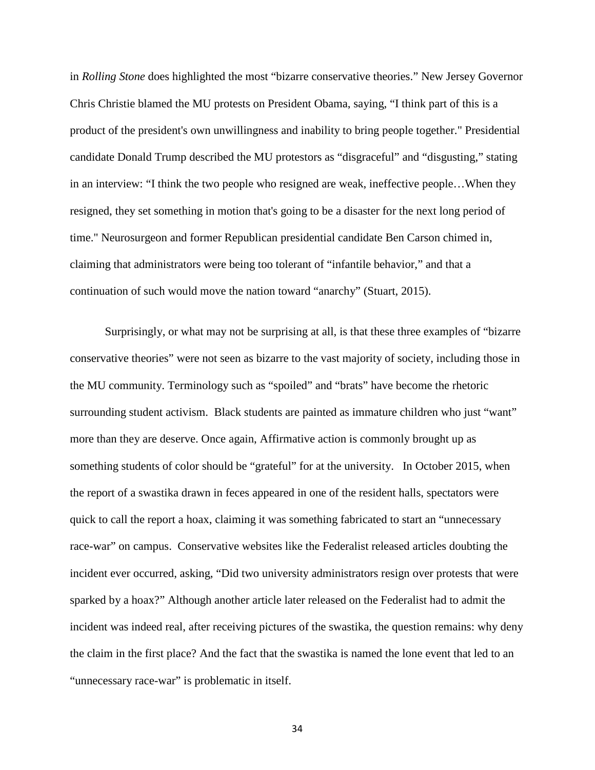in *Rolling Stone* does highlighted the most "bizarre conservative theories." New Jersey Governor Chris Christie blamed the MU protests on President Obama, saying, "I think part of this is a product of the president's own unwillingness and inability to bring people together." Presidential candidate Donald Trump described the MU protestors as "disgraceful" and "disgusting," stating in an interview: "I think the two people who resigned are weak, ineffective people…When they resigned, they set something in motion that's going to be a disaster for the next long period of time." Neurosurgeon and former Republican presidential candidate Ben Carson chimed in, claiming that administrators were being too tolerant of "infantile behavior," and that a continuation of such would move the nation toward "anarchy" (Stuart, 2015).

Surprisingly, or what may not be surprising at all, is that these three examples of "bizarre conservative theories" were not seen as bizarre to the vast majority of society, including those in the MU community. Terminology such as "spoiled" and "brats" have become the rhetoric surrounding student activism. Black students are painted as immature children who just "want" more than they are deserve. Once again, Affirmative action is commonly brought up as something students of color should be "grateful" for at the university. In October 2015, when the report of a swastika drawn in feces appeared in one of the resident halls, spectators were quick to call the report a hoax, claiming it was something fabricated to start an "unnecessary race-war" on campus. Conservative websites like the Federalist released articles doubting the incident ever occurred, asking, "Did two university administrators resign over protests that were sparked by a hoax?" Although another article later released on the Federalist had to admit the incident was indeed real, after receiving pictures of the swastika, the question remains: why deny the claim in the first place? And the fact that the swastika is named the lone event that led to an "unnecessary race-war" is problematic in itself.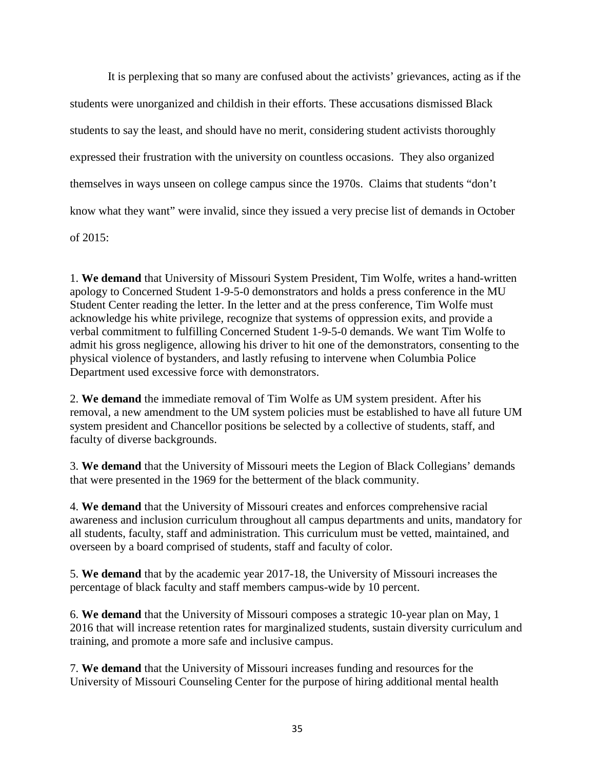It is perplexing that so many are confused about the activists' grievances, acting as if the students were unorganized and childish in their efforts. These accusations dismissed Black students to say the least, and should have no merit, considering student activists thoroughly expressed their frustration with the university on countless occasions. They also organized themselves in ways unseen on college campus since the 1970s. Claims that students "don't know what they want" were invalid, since they issued a very precise list of demands in October of 2015:

1. **We demand** that University of Missouri System President, Tim Wolfe, writes a hand-written apology to Concerned Student 1-9-5-0 demonstrators and holds a press conference in the MU Student Center reading the letter. In the letter and at the press conference, Tim Wolfe must acknowledge his white privilege, recognize that systems of oppression exits, and provide a verbal commitment to fulfilling Concerned Student 1-9-5-0 demands. We want Tim Wolfe to admit his gross negligence, allowing his driver to hit one of the demonstrators, consenting to the physical violence of bystanders, and lastly refusing to intervene when Columbia Police Department used excessive force with demonstrators.

2. **We demand** the immediate removal of Tim Wolfe as UM system president. After his removal, a new amendment to the UM system policies must be established to have all future UM system president and Chancellor positions be selected by a collective of students, staff, and faculty of diverse backgrounds.

3. **We demand** that the University of Missouri meets the Legion of Black Collegians' demands that were presented in the 1969 for the betterment of the black community.

4. **We demand** that the University of Missouri creates and enforces comprehensive racial awareness and inclusion curriculum throughout all campus departments and units, mandatory for all students, faculty, staff and administration. This curriculum must be vetted, maintained, and overseen by a board comprised of students, staff and faculty of color.

5. **We demand** that by the academic year 2017-18, the University of Missouri increases the percentage of black faculty and staff members campus-wide by 10 percent.

6. **We demand** that the University of Missouri composes a strategic 10-year plan on May, 1 2016 that will increase retention rates for marginalized students, sustain diversity curriculum and training, and promote a more safe and inclusive campus.

7. **We demand** that the University of Missouri increases funding and resources for the University of Missouri Counseling Center for the purpose of hiring additional mental health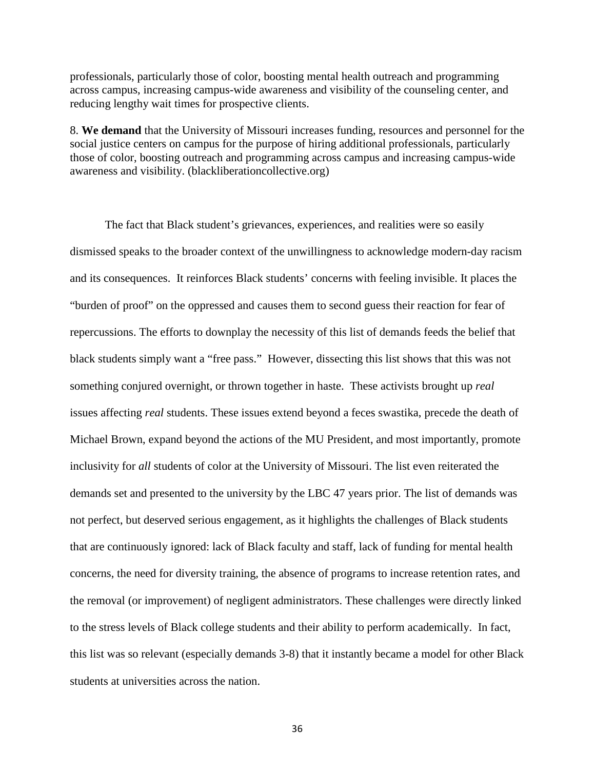professionals, particularly those of color, boosting mental health outreach and programming across campus, increasing campus-wide awareness and visibility of the counseling center, and reducing lengthy wait times for prospective clients.

8. **We demand** that the University of Missouri increases funding, resources and personnel for the social justice centers on campus for the purpose of hiring additional professionals, particularly those of color, boosting outreach and programming across campus and increasing campus-wide awareness and visibility. (blackliberationcollective.org)

The fact that Black student's grievances, experiences, and realities were so easily dismissed speaks to the broader context of the unwillingness to acknowledge modern-day racism and its consequences. It reinforces Black students' concerns with feeling invisible. It places the "burden of proof" on the oppressed and causes them to second guess their reaction for fear of repercussions. The efforts to downplay the necessity of this list of demands feeds the belief that black students simply want a "free pass." However, dissecting this list shows that this was not something conjured overnight, or thrown together in haste. These activists brought up *real*  issues affecting *real* students. These issues extend beyond a feces swastika, precede the death of Michael Brown, expand beyond the actions of the MU President, and most importantly, promote inclusivity for *all* students of color at the University of Missouri. The list even reiterated the demands set and presented to the university by the LBC 47 years prior. The list of demands was not perfect, but deserved serious engagement, as it highlights the challenges of Black students that are continuously ignored: lack of Black faculty and staff, lack of funding for mental health concerns, the need for diversity training, the absence of programs to increase retention rates, and the removal (or improvement) of negligent administrators. These challenges were directly linked to the stress levels of Black college students and their ability to perform academically. In fact, this list was so relevant (especially demands 3-8) that it instantly became a model for other Black students at universities across the nation.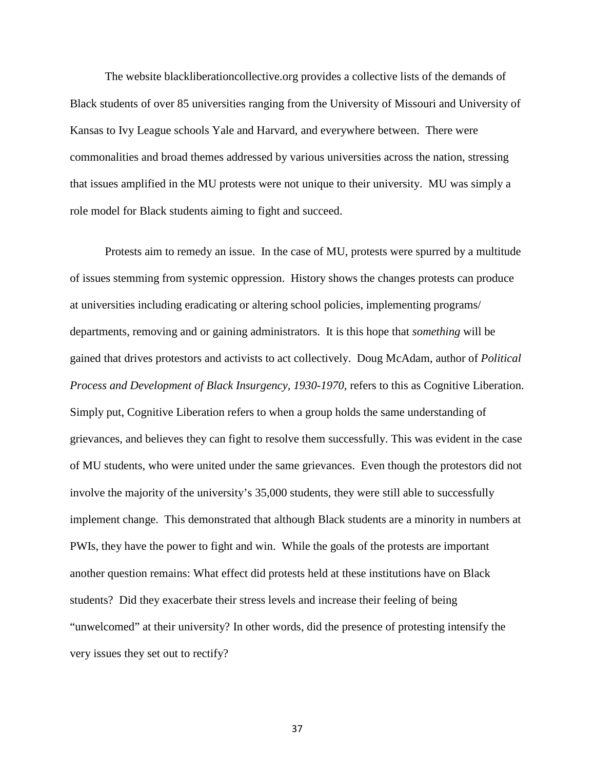The website blackliberationcollective.org provides a collective lists of the demands of Black students of over 85 universities ranging from the University of Missouri and University of Kansas to Ivy League schools Yale and Harvard, and everywhere between. There were commonalities and broad themes addressed by various universities across the nation, stressing that issues amplified in the MU protests were not unique to their university. MU was simply a role model for Black students aiming to fight and succeed.

Protests aim to remedy an issue. In the case of MU, protests were spurred by a multitude of issues stemming from systemic oppression. History shows the changes protests can produce at universities including eradicating or altering school policies, implementing programs/ departments, removing and or gaining administrators. It is this hope that *something* will be gained that drives protestors and activists to act collectively. Doug McAdam, author of *Political Process and Development of Black Insurgency, 1930-1970*, refers to this as Cognitive Liberation. Simply put, Cognitive Liberation refers to when a group holds the same understanding of grievances, and believes they can fight to resolve them successfully. This was evident in the case of MU students, who were united under the same grievances. Even though the protestors did not involve the majority of the university's 35,000 students, they were still able to successfully implement change. This demonstrated that although Black students are a minority in numbers at PWIs, they have the power to fight and win. While the goals of the protests are important another question remains: What effect did protests held at these institutions have on Black students? Did they exacerbate their stress levels and increase their feeling of being "unwelcomed" at their university? In other words, did the presence of protesting intensify the very issues they set out to rectify?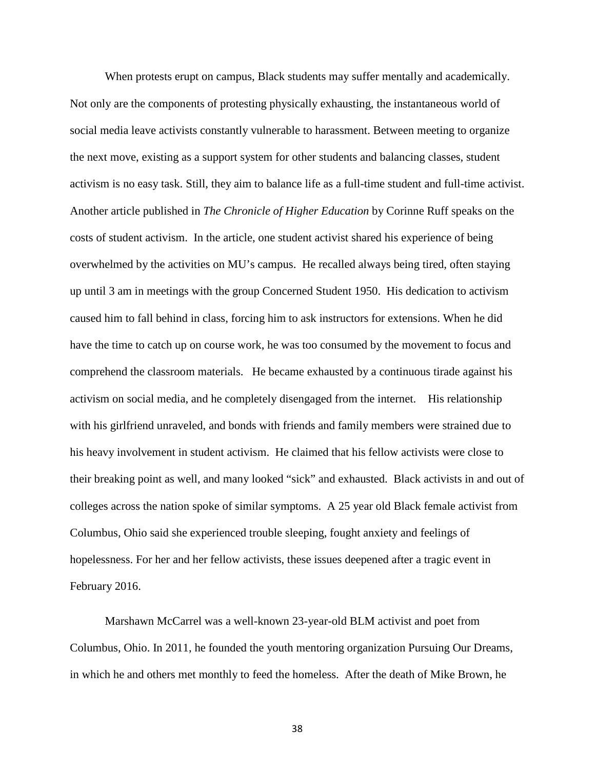When protests erupt on campus, Black students may suffer mentally and academically. Not only are the components of protesting physically exhausting, the instantaneous world of social media leave activists constantly vulnerable to harassment. Between meeting to organize the next move, existing as a support system for other students and balancing classes, student activism is no easy task. Still, they aim to balance life as a full-time student and full-time activist. Another article published in *The Chronicle of Higher Education* by Corinne Ruff speaks on the costs of student activism. In the article, one student activist shared his experience of being overwhelmed by the activities on MU's campus. He recalled always being tired, often staying up until 3 am in meetings with the group Concerned Student 1950. His dedication to activism caused him to fall behind in class, forcing him to ask instructors for extensions. When he did have the time to catch up on course work, he was too consumed by the movement to focus and comprehend the classroom materials. He became exhausted by a continuous tirade against his activism on social media, and he completely disengaged from the internet. His relationship with his girlfriend unraveled, and bonds with friends and family members were strained due to his heavy involvement in student activism. He claimed that his fellow activists were close to their breaking point as well, and many looked "sick" and exhausted. Black activists in and out of colleges across the nation spoke of similar symptoms. A 25 year old Black female activist from Columbus, Ohio said she experienced trouble sleeping, fought anxiety and feelings of hopelessness. For her and her fellow activists, these issues deepened after a tragic event in February 2016.

Marshawn McCarrel was a well-known 23-year-old BLM activist and poet from Columbus, Ohio. In 2011, he founded the youth mentoring organization Pursuing Our Dreams, in which he and others met monthly to feed the homeless. After the death of Mike Brown, he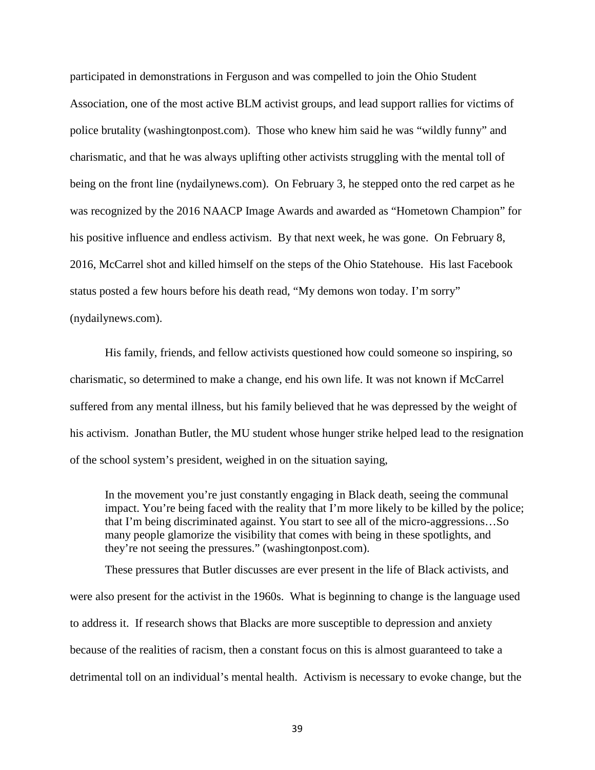participated in demonstrations in Ferguson and was compelled to join the Ohio Student Association, one of the most active BLM activist groups, and lead support rallies for victims of police brutality (washingtonpost.com). Those who knew him said he was "wildly funny" and charismatic, and that he was always uplifting other activists struggling with the mental toll of being on the front line (nydailynews.com). On February 3, he stepped onto the red carpet as he was recognized by the 2016 NAACP Image Awards and awarded as "Hometown Champion" for his positive influence and endless activism. By that next week, he was gone. On February 8, 2016, McCarrel shot and killed himself on the steps of the Ohio Statehouse. His last Facebook status posted a few hours before his death read, "My demons won today. I'm sorry" (nydailynews.com).

His family, friends, and fellow activists questioned how could someone so inspiring, so charismatic, so determined to make a change, end his own life. It was not known if McCarrel suffered from any mental illness, but his family believed that he was depressed by the weight of his activism. Jonathan Butler, the MU student whose hunger strike helped lead to the resignation of the school system's president, weighed in on the situation saying,

In the movement you're just constantly engaging in Black death, seeing the communal impact. You're being faced with the reality that I'm more likely to be killed by the police; that I'm being discriminated against. You start to see all of the micro-aggressions…So many people glamorize the visibility that comes with being in these spotlights, and they're not seeing the pressures." (washingtonpost.com).

These pressures that Butler discusses are ever present in the life of Black activists, and were also present for the activist in the 1960s. What is beginning to change is the language used to address it. If research shows that Blacks are more susceptible to depression and anxiety because of the realities of racism, then a constant focus on this is almost guaranteed to take a detrimental toll on an individual's mental health. Activism is necessary to evoke change, but the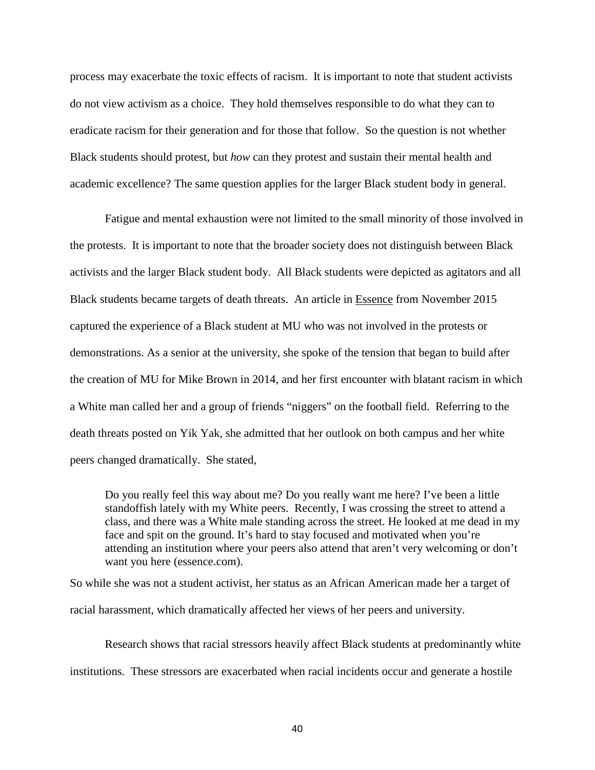process may exacerbate the toxic effects of racism. It is important to note that student activists do not view activism as a choice. They hold themselves responsible to do what they can to eradicate racism for their generation and for those that follow. So the question is not whether Black students should protest, but *how* can they protest and sustain their mental health and academic excellence? The same question applies for the larger Black student body in general.

 Fatigue and mental exhaustion were not limited to the small minority of those involved in the protests. It is important to note that the broader society does not distinguish between Black activists and the larger Black student body. All Black students were depicted as agitators and all Black students became targets of death threats. An article in Essence from November 2015 captured the experience of a Black student at MU who was not involved in the protests or demonstrations. As a senior at the university, she spoke of the tension that began to build after the creation of MU for Mike Brown in 2014, and her first encounter with blatant racism in which a White man called her and a group of friends "niggers" on the football field. Referring to the death threats posted on Yik Yak, she admitted that her outlook on both campus and her white peers changed dramatically. She stated,

Do you really feel this way about me? Do you really want me here? I've been a little standoffish lately with my White peers. Recently, I was crossing the street to attend a class, and there was a White male standing across the street. He looked at me dead in my face and spit on the ground. It's hard to stay focused and motivated when you're attending an institution where your peers also attend that aren't very welcoming or don't want you here (essence.com).

So while she was not a student activist, her status as an African American made her a target of racial harassment, which dramatically affected her views of her peers and university.

Research shows that racial stressors heavily affect Black students at predominantly white institutions. These stressors are exacerbated when racial incidents occur and generate a hostile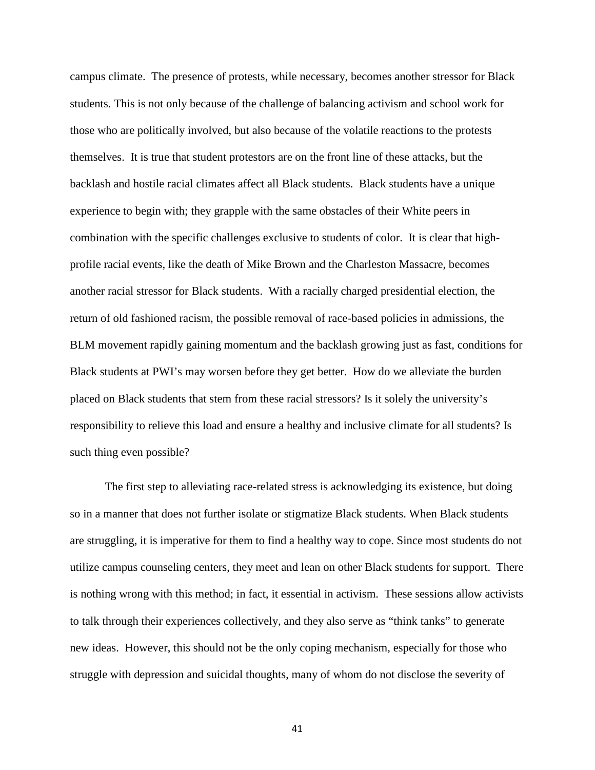campus climate. The presence of protests, while necessary, becomes another stressor for Black students. This is not only because of the challenge of balancing activism and school work for those who are politically involved, but also because of the volatile reactions to the protests themselves. It is true that student protestors are on the front line of these attacks, but the backlash and hostile racial climates affect all Black students. Black students have a unique experience to begin with; they grapple with the same obstacles of their White peers in combination with the specific challenges exclusive to students of color. It is clear that highprofile racial events, like the death of Mike Brown and the Charleston Massacre, becomes another racial stressor for Black students. With a racially charged presidential election, the return of old fashioned racism, the possible removal of race-based policies in admissions, the BLM movement rapidly gaining momentum and the backlash growing just as fast, conditions for Black students at PWI's may worsen before they get better. How do we alleviate the burden placed on Black students that stem from these racial stressors? Is it solely the university's responsibility to relieve this load and ensure a healthy and inclusive climate for all students? Is such thing even possible?

The first step to alleviating race-related stress is acknowledging its existence, but doing so in a manner that does not further isolate or stigmatize Black students. When Black students are struggling, it is imperative for them to find a healthy way to cope. Since most students do not utilize campus counseling centers, they meet and lean on other Black students for support. There is nothing wrong with this method; in fact, it essential in activism. These sessions allow activists to talk through their experiences collectively, and they also serve as "think tanks" to generate new ideas. However, this should not be the only coping mechanism, especially for those who struggle with depression and suicidal thoughts, many of whom do not disclose the severity of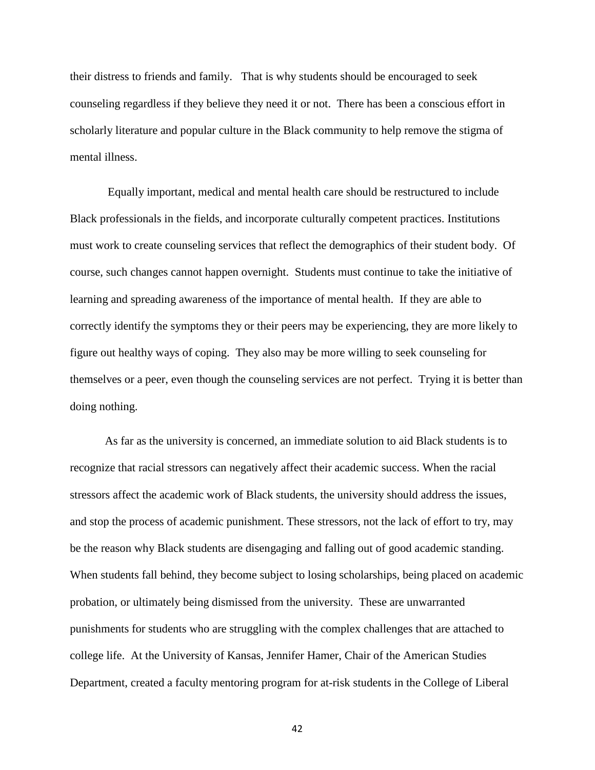their distress to friends and family. That is why students should be encouraged to seek counseling regardless if they believe they need it or not. There has been a conscious effort in scholarly literature and popular culture in the Black community to help remove the stigma of mental illness.

Equally important, medical and mental health care should be restructured to include Black professionals in the fields, and incorporate culturally competent practices. Institutions must work to create counseling services that reflect the demographics of their student body. Of course, such changes cannot happen overnight. Students must continue to take the initiative of learning and spreading awareness of the importance of mental health. If they are able to correctly identify the symptoms they or their peers may be experiencing, they are more likely to figure out healthy ways of coping. They also may be more willing to seek counseling for themselves or a peer, even though the counseling services are not perfect. Trying it is better than doing nothing.

As far as the university is concerned, an immediate solution to aid Black students is to recognize that racial stressors can negatively affect their academic success. When the racial stressors affect the academic work of Black students, the university should address the issues, and stop the process of academic punishment. These stressors, not the lack of effort to try, may be the reason why Black students are disengaging and falling out of good academic standing. When students fall behind, they become subject to losing scholarships, being placed on academic probation, or ultimately being dismissed from the university. These are unwarranted punishments for students who are struggling with the complex challenges that are attached to college life. At the University of Kansas, Jennifer Hamer, Chair of the American Studies Department, created a faculty mentoring program for at-risk students in the College of Liberal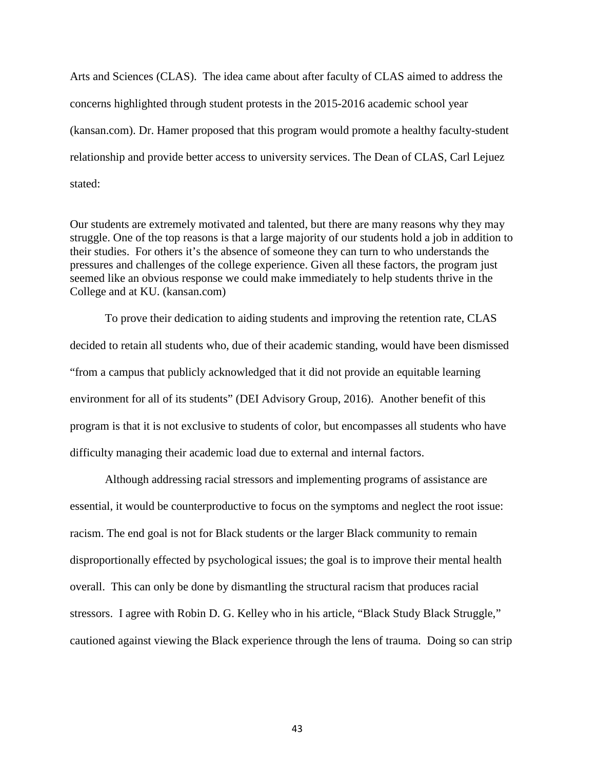Arts and Sciences (CLAS). The idea came about after faculty of CLAS aimed to address the concerns highlighted through student protests in the 2015-2016 academic school year (kansan.com). Dr. Hamer proposed that this program would promote a healthy faculty-student relationship and provide better access to university services. The Dean of CLAS, Carl Lejuez stated:

Our students are extremely motivated and talented, but there are many reasons why they may struggle. One of the top reasons is that a large majority of our students hold a job in addition to their studies. For others it's the absence of someone they can turn to who understands the pressures and challenges of the college experience. Given all these factors, the program just seemed like an obvious response we could make immediately to help students thrive in the College and at KU. (kansan.com)

To prove their dedication to aiding students and improving the retention rate, CLAS decided to retain all students who, due of their academic standing, would have been dismissed "from a campus that publicly acknowledged that it did not provide an equitable learning environment for all of its students" (DEI Advisory Group, 2016). Another benefit of this program is that it is not exclusive to students of color, but encompasses all students who have difficulty managing their academic load due to external and internal factors.

Although addressing racial stressors and implementing programs of assistance are essential, it would be counterproductive to focus on the symptoms and neglect the root issue: racism. The end goal is not for Black students or the larger Black community to remain disproportionally effected by psychological issues; the goal is to improve their mental health overall. This can only be done by dismantling the structural racism that produces racial stressors. I agree with Robin D. G. Kelley who in his article, "Black Study Black Struggle," cautioned against viewing the Black experience through the lens of trauma. Doing so can strip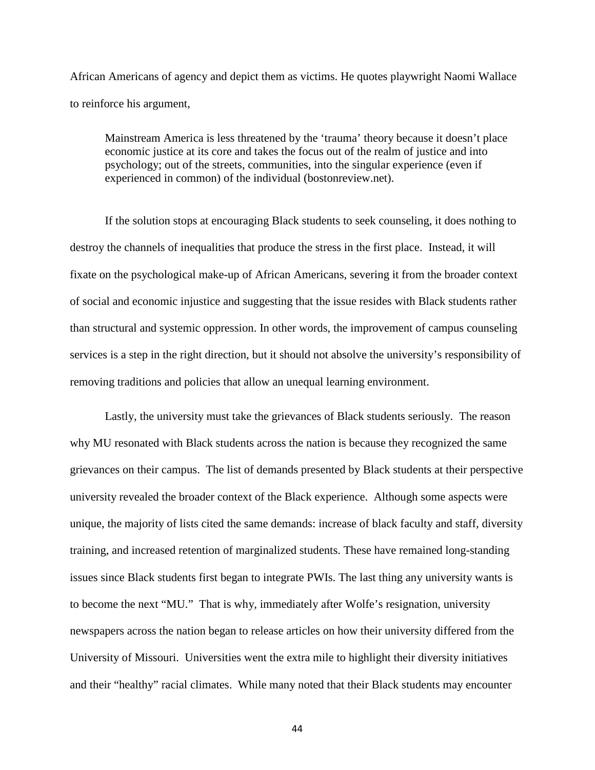African Americans of agency and depict them as victims. He quotes playwright Naomi Wallace to reinforce his argument,

Mainstream America is less threatened by the 'trauma' theory because it doesn't place economic justice at its core and takes the focus out of the realm of justice and into psychology; out of the streets, communities, into the singular experience (even if experienced in common) of the individual (bostonreview.net).

If the solution stops at encouraging Black students to seek counseling, it does nothing to destroy the channels of inequalities that produce the stress in the first place. Instead, it will fixate on the psychological make-up of African Americans, severing it from the broader context of social and economic injustice and suggesting that the issue resides with Black students rather than structural and systemic oppression. In other words, the improvement of campus counseling services is a step in the right direction, but it should not absolve the university's responsibility of removing traditions and policies that allow an unequal learning environment.

Lastly, the university must take the grievances of Black students seriously. The reason why MU resonated with Black students across the nation is because they recognized the same grievances on their campus. The list of demands presented by Black students at their perspective university revealed the broader context of the Black experience. Although some aspects were unique, the majority of lists cited the same demands: increase of black faculty and staff, diversity training, and increased retention of marginalized students. These have remained long-standing issues since Black students first began to integrate PWIs. The last thing any university wants is to become the next "MU." That is why, immediately after Wolfe's resignation, university newspapers across the nation began to release articles on how their university differed from the University of Missouri. Universities went the extra mile to highlight their diversity initiatives and their "healthy" racial climates. While many noted that their Black students may encounter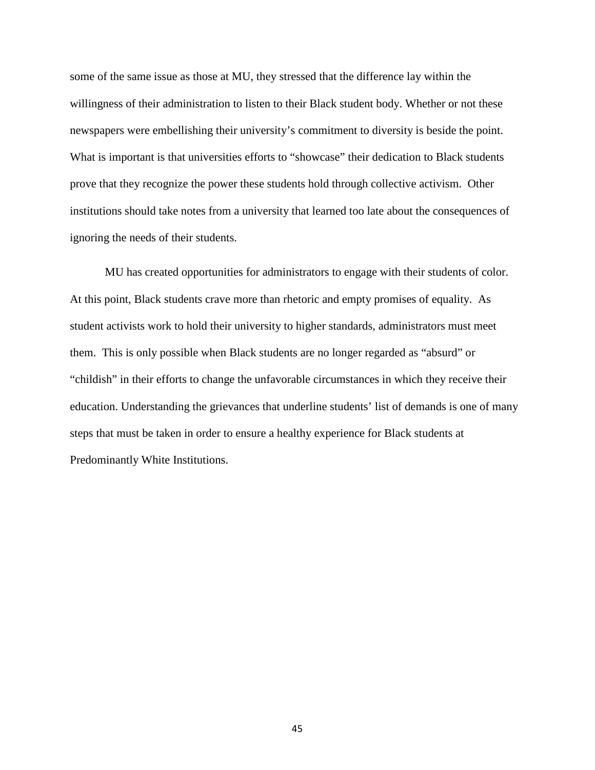some of the same issue as those at MU, they stressed that the difference lay within the willingness of their administration to listen to their Black student body. Whether or not these newspapers were embellishing their university's commitment to diversity is beside the point. What is important is that universities efforts to "showcase" their dedication to Black students prove that they recognize the power these students hold through collective activism. Other institutions should take notes from a university that learned too late about the consequences of ignoring the needs of their students.

MU has created opportunities for administrators to engage with their students of color. At this point, Black students crave more than rhetoric and empty promises of equality. As student activists work to hold their university to higher standards, administrators must meet them. This is only possible when Black students are no longer regarded as "absurd" or "childish" in their efforts to change the unfavorable circumstances in which they receive their education. Understanding the grievances that underline students' list of demands is one of many steps that must be taken in order to ensure a healthy experience for Black students at Predominantly White Institutions.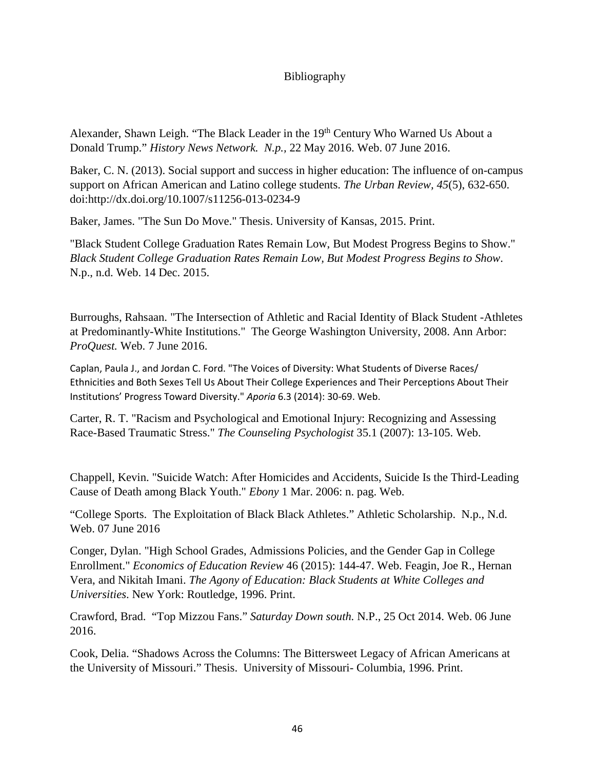## Bibliography

Alexander, Shawn Leigh. "The Black Leader in the 19<sup>th</sup> Century Who Warned Us About a Donald Trump." *History News Network. N.p.,* 22 May 2016. Web. 07 June 2016.

Baker, C. N. (2013). Social support and success in higher education: The influence of on-campus support on African American and Latino college students. *The Urban Review, 45*(5), 632-650. doi:http://dx.doi.org/10.1007/s11256-013-0234-9

Baker, James. "The Sun Do Move." Thesis. University of Kansas, 2015. Print.

"Black Student College Graduation Rates Remain Low, But Modest Progress Begins to Show." *Black Student College Graduation Rates Remain Low, But Modest Progress Begins to Show*. N.p., n.d. Web. 14 Dec. 2015.

Burroughs, Rahsaan. "The Intersection of Athletic and Racial Identity of Black Student -Athletes at Predominantly-White Institutions." The George Washington University, 2008. Ann Arbor: *ProQuest.* Web. 7 June 2016.

Caplan, Paula J., and Jordan C. Ford. "The Voices of Diversity: What Students of Diverse Races/ Ethnicities and Both Sexes Tell Us About Their College Experiences and Their Perceptions About Their Institutions' Progress Toward Diversity." *Aporia* 6.3 (2014): 30-69. Web.

Carter, R. T. "Racism and Psychological and Emotional Injury: Recognizing and Assessing Race-Based Traumatic Stress." *The Counseling Psychologist* 35.1 (2007): 13-105. Web.

Chappell, Kevin. "Suicide Watch: After Homicides and Accidents, Suicide Is the Third-Leading Cause of Death among Black Youth." *Ebony* 1 Mar. 2006: n. pag. Web.

"College Sports. The Exploitation of Black Black Athletes." Athletic Scholarship. N.p., N.d. Web. 07 June 2016

Conger, Dylan. "High School Grades, Admissions Policies, and the Gender Gap in College Enrollment." *Economics of Education Review* 46 (2015): 144-47. Web. Feagin, Joe R., Hernan Vera, and Nikitah Imani. *The Agony of Education: Black Students at White Colleges and Universities*. New York: Routledge, 1996. Print.

Crawford, Brad. "Top Mizzou Fans." *Saturday Down south.* N.P., 25 Oct 2014. Web. 06 June 2016.

Cook, Delia. "Shadows Across the Columns: The Bittersweet Legacy of African Americans at the University of Missouri." Thesis. University of Missouri- Columbia, 1996. Print.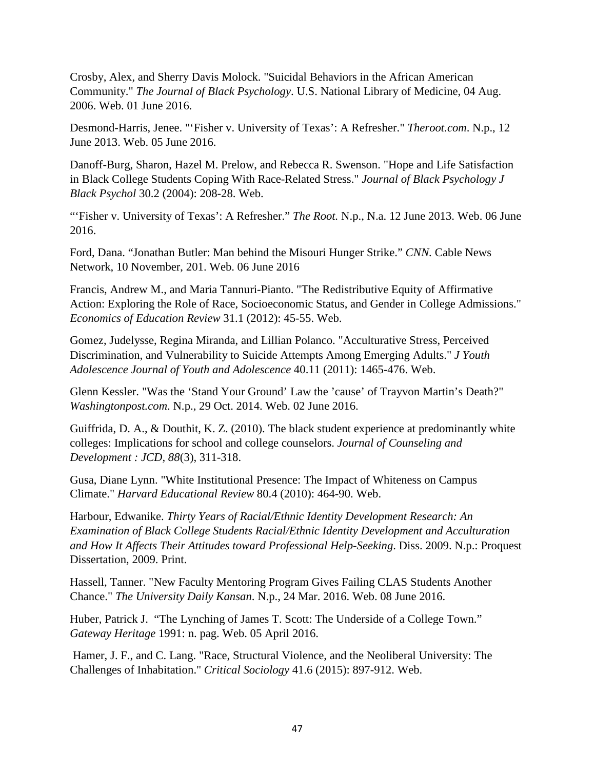Crosby, Alex, and Sherry Davis Molock. "Suicidal Behaviors in the African American Community." *The Journal of Black Psychology*. U.S. National Library of Medicine, 04 Aug. 2006. Web. 01 June 2016.

Desmond-Harris, Jenee. "'Fisher v. University of Texas': A Refresher." *Theroot.com*. N.p., 12 June 2013. Web. 05 June 2016.

Danoff-Burg, Sharon, Hazel M. Prelow, and Rebecca R. Swenson. "Hope and Life Satisfaction in Black College Students Coping With Race-Related Stress." *Journal of Black Psychology J Black Psychol* 30.2 (2004): 208-28. Web.

"'Fisher v. University of Texas': A Refresher." *The Root.* N.p., N.a. 12 June 2013. Web. 06 June 2016.

Ford, Dana. "Jonathan Butler: Man behind the Misouri Hunger Strike." *CNN.* Cable News Network, 10 November, 201. Web. 06 June 2016

Francis, Andrew M., and Maria Tannuri-Pianto. "The Redistributive Equity of Affirmative Action: Exploring the Role of Race, Socioeconomic Status, and Gender in College Admissions." *Economics of Education Review* 31.1 (2012): 45-55. Web.

Gomez, Judelysse, Regina Miranda, and Lillian Polanco. "Acculturative Stress, Perceived Discrimination, and Vulnerability to Suicide Attempts Among Emerging Adults." *J Youth Adolescence Journal of Youth and Adolescence* 40.11 (2011): 1465-476. Web.

Glenn Kessler. "Was the 'Stand Your Ground' Law the 'cause' of Trayvon Martin's Death?" *Washingtonpost.com*. N.p., 29 Oct. 2014. Web. 02 June 2016.

Guiffrida, D. A., & Douthit, K. Z. (2010). The black student experience at predominantly white colleges: Implications for school and college counselors. *Journal of Counseling and Development : JCD, 88*(3), 311-318.

Gusa, Diane Lynn. "White Institutional Presence: The Impact of Whiteness on Campus Climate." *Harvard Educational Review* 80.4 (2010): 464-90. Web.

Harbour, Edwanike. *Thirty Years of Racial/Ethnic Identity Development Research: An Examination of Black College Students Racial/Ethnic Identity Development and Acculturation and How It Affects Their Attitudes toward Professional Help-Seeking*. Diss. 2009. N.p.: Proquest Dissertation, 2009. Print.

Hassell, Tanner. "New Faculty Mentoring Program Gives Failing CLAS Students Another Chance." *The University Daily Kansan*. N.p., 24 Mar. 2016. Web. 08 June 2016.

Huber, Patrick J. "The Lynching of James T. Scott: The Underside of a College Town." *Gateway Heritage* 1991: n. pag. Web. 05 April 2016.

Hamer, J. F., and C. Lang. "Race, Structural Violence, and the Neoliberal University: The Challenges of Inhabitation." *Critical Sociology* 41.6 (2015): 897-912. Web.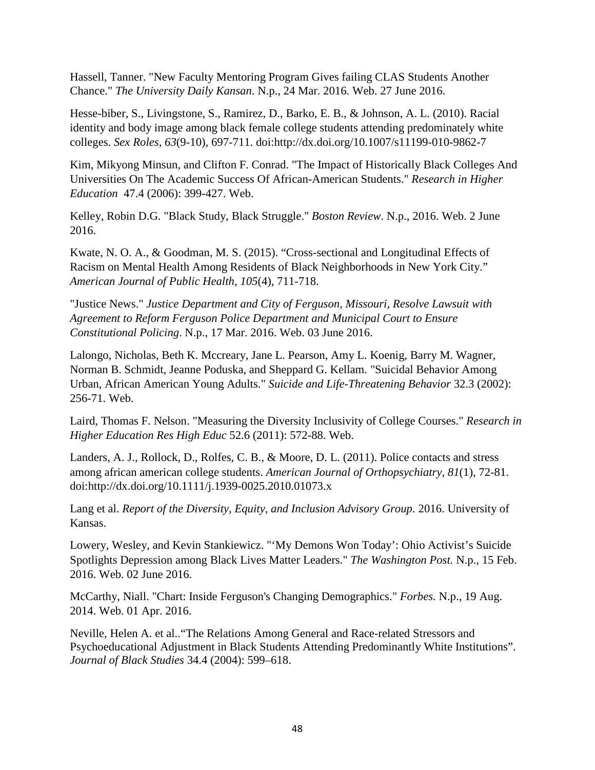Hassell, Tanner. "New Faculty Mentoring Program Gives failing CLAS Students Another Chance." *The University Daily Kansan*. N.p., 24 Mar. 2016. Web. 27 June 2016.

Hesse-biber, S., Livingstone, S., Ramirez, D., Barko, E. B., & Johnson, A. L. (2010). Racial identity and body image among black female college students attending predominately white colleges. *Sex Roles, 63*(9-10), 697-711. doi:http://dx.doi.org/10.1007/s11199-010-9862-7

Kim, Mikyong Minsun, and Clifton F. Conrad. "The Impact of Historically Black Colleges And Universities On The Academic Success Of African-American Students." *Research in Higher Education* 47.4 (2006): 399-427. Web.

Kelley, Robin D.G. "Black Study, Black Struggle." *Boston Review*. N.p., 2016. Web. 2 June 2016.

Kwate, N. O. A., & Goodman, M. S. (2015). "Cross-sectional and Longitudinal Effects of Racism on Mental Health Among Residents of Black Neighborhoods in New York City." *American Journal of Public Health, 105*(4), 711-718.

"Justice News." *Justice Department and City of Ferguson, Missouri, Resolve Lawsuit with Agreement to Reform Ferguson Police Department and Municipal Court to Ensure Constitutional Policing*. N.p., 17 Mar. 2016. Web. 03 June 2016.

Lalongo, Nicholas, Beth K. Mccreary, Jane L. Pearson, Amy L. Koenig, Barry M. Wagner, Norman B. Schmidt, Jeanne Poduska, and Sheppard G. Kellam. "Suicidal Behavior Among Urban, African American Young Adults." *Suicide and Life-Threatening Behavior* 32.3 (2002): 256-71. Web.

Laird, Thomas F. Nelson. "Measuring the Diversity Inclusivity of College Courses." *Research in Higher Education Res High Educ* 52.6 (2011): 572-88. Web.

Landers, A. J., Rollock, D., Rolfes, C. B., & Moore, D. L. (2011). Police contacts and stress among african american college students. *American Journal of Orthopsychiatry, 81*(1), 72-81. doi:http://dx.doi.org/10.1111/j.1939-0025.2010.01073.x

Lang et al. *Report of the Diversity, Equity, and Inclusion Advisory Group*. 2016. University of Kansas.

Lowery, Wesley, and Kevin Stankiewicz. "'My Demons Won Today': Ohio Activist's Suicide Spotlights Depression among Black Lives Matter Leaders." *The Washington Post.* N.p., 15 Feb. 2016. Web. 02 June 2016.

McCarthy, Niall. "Chart: Inside Ferguson's Changing Demographics." *Forbes.* N.p., 19 Aug. 2014. Web. 01 Apr. 2016.

Neville, Helen A. et al.."The Relations Among General and Race-related Stressors and Psychoeducational Adjustment in Black Students Attending Predominantly White Institutions". *Journal of Black Studies* 34.4 (2004): 599–618.